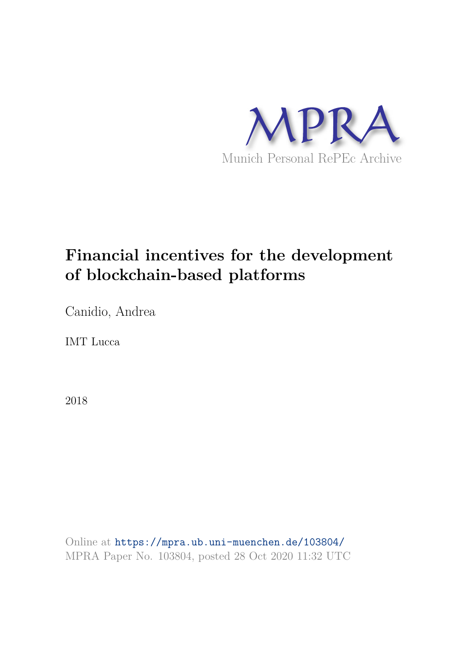

# **Financial incentives for the development of blockchain-based platforms**

Canidio, Andrea

IMT Lucca

2018

Online at https://mpra.ub.uni-muenchen.de/103804/ MPRA Paper No. 103804, posted 28 Oct 2020 11:32 UTC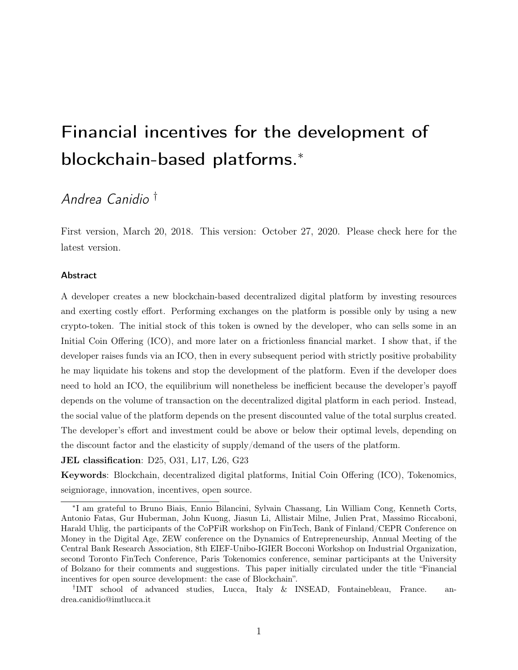# Financial incentives for the development of blockchain-based platforms.<sup>∗</sup>

# Andrea Canidio †

First version, March 20, 2018. This version: October 27, 2020. Please check here for the latest version.

#### Abstract

A developer creates a new blockchain-based decentralized digital platform by investing resources and exerting costly effort. Performing exchanges on the platform is possible only by using a new crypto-token. The initial stock of this token is owned by the developer, who can sells some in an Initial Coin Offering (ICO), and more later on a frictionless financial market. I show that, if the developer raises funds via an ICO, then in every subsequent period with strictly positive probability he may liquidate his tokens and stop the development of the platform. Even if the developer does need to hold an ICO, the equilibrium will nonetheless be inefficient because the developer's payoff depends on the volume of transaction on the decentralized digital platform in each period. Instead, the social value of the platform depends on the present discounted value of the total surplus created. The developer's effort and investment could be above or below their optimal levels, depending on the discount factor and the elasticity of supply/demand of the users of the platform.

#### JEL classification: D25, O31, L17, L26, G23

Keywords: Blockchain, decentralized digital platforms, Initial Coin Offering (ICO), Tokenomics, seigniorage, innovation, incentives, open source.

<sup>∗</sup> I am grateful to Bruno Biais, Ennio Bilancini, Sylvain Chassang, Lin William Cong, Kenneth Corts, Antonio Fatas, Gur Huberman, John Kuong, Jiasun Li, Allistair Milne, Julien Prat, Massimo Riccaboni, Harald Uhlig, the participants of the CoPFiR workshop on FinTech, Bank of Finland/CEPR Conference on Money in the Digital Age, ZEW conference on the Dynamics of Entrepreneurship, Annual Meeting of the Central Bank Research Association, 8th EIEF-Unibo-IGIER Bocconi Workshop on Industrial Organization, second Toronto FinTech Conference, Paris Tokenomics conference, seminar participants at the University of Bolzano for their comments and suggestions. This paper initially circulated under the title "Financial incentives for open source development: the case of Blockchain".

<sup>†</sup> IMT school of advanced studies, Lucca, Italy & INSEAD, Fontainebleau, France. andrea.canidio@imtlucca.it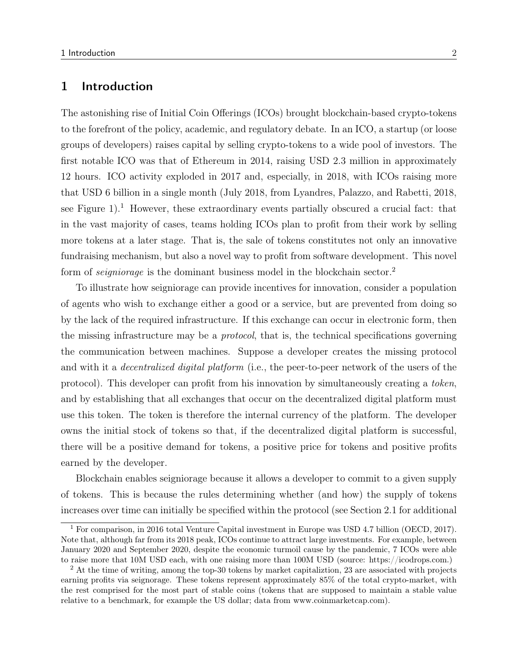# 1 Introduction

The astonishing rise of Initial Coin Offerings (ICOs) brought blockchain-based crypto-tokens to the forefront of the policy, academic, and regulatory debate. In an ICO, a startup (or loose groups of developers) raises capital by selling crypto-tokens to a wide pool of investors. The first notable ICO was that of Ethereum in 2014, raising USD 2.3 million in approximately 12 hours. ICO activity exploded in 2017 and, especially, in 2018, with ICOs raising more that USD 6 billion in a single month (July 2018, from Lyandres, Palazzo, and Rabetti, 2018, see Figure 1).<sup>1</sup> However, these extraordinary events partially obscured a crucial fact: that in the vast majority of cases, teams holding ICOs plan to profit from their work by selling more tokens at a later stage. That is, the sale of tokens constitutes not only an innovative fundraising mechanism, but also a novel way to profit from software development. This novel form of *seigniorage* is the dominant business model in the blockchain sector.<sup>2</sup>

To illustrate how seigniorage can provide incentives for innovation, consider a population of agents who wish to exchange either a good or a service, but are prevented from doing so by the lack of the required infrastructure. If this exchange can occur in electronic form, then the missing infrastructure may be a protocol, that is, the technical specifications governing the communication between machines. Suppose a developer creates the missing protocol and with it a *decentralized digital platform* (i.e., the peer-to-peer network of the users of the protocol). This developer can profit from his innovation by simultaneously creating a token, and by establishing that all exchanges that occur on the decentralized digital platform must use this token. The token is therefore the internal currency of the platform. The developer owns the initial stock of tokens so that, if the decentralized digital platform is successful, there will be a positive demand for tokens, a positive price for tokens and positive profits earned by the developer.

Blockchain enables seigniorage because it allows a developer to commit to a given supply of tokens. This is because the rules determining whether (and how) the supply of tokens increases over time can initially be specified within the protocol (see Section 2.1 for additional

<sup>1</sup> For comparison, in 2016 total Venture Capital investment in Europe was USD 4.7 billion (OECD, 2017). Note that, although far from its 2018 peak, ICOs continue to attract large investments. For example, between January 2020 and September 2020, despite the economic turmoil cause by the pandemic, 7 ICOs were able to raise more that 10M USD each, with one raising more than 100M USD (source: https://icodrops.com.)

<sup>&</sup>lt;sup>2</sup> At the time of writing, among the top-30 tokens by market capitalizion, 23 are associated with projects earning profits via seignorage. These tokens represent approximately 85% of the total crypto-market, with the rest comprised for the most part of stable coins (tokens that are supposed to maintain a stable value relative to a benchmark, for example the US dollar; data from www.coinmarketcap.com).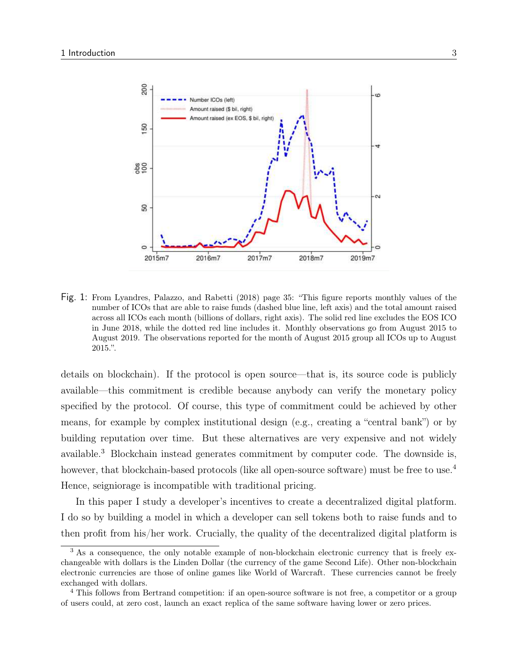

Fig. 1: From Lyandres, Palazzo, and Rabetti (2018) page 35: "This figure reports monthly values of the number of ICOs that are able to raise funds (dashed blue line, left axis) and the total amount raised across all ICOs each month (billions of dollars, right axis). The solid red line excludes the EOS ICO in June 2018, while the dotted red line includes it. Monthly observations go from August 2015 to August 2019. The observations reported for the month of August 2015 group all ICOs up to August 2015.".

details on blockchain). If the protocol is open source—that is, its source code is publicly available—this commitment is credible because anybody can verify the monetary policy specified by the protocol. Of course, this type of commitment could be achieved by other means, for example by complex institutional design (e.g., creating a "central bank") or by building reputation over time. But these alternatives are very expensive and not widely available.<sup>3</sup> Blockchain instead generates commitment by computer code. The downside is, however, that blockchain-based protocols (like all open-source software) must be free to use.<sup>4</sup> Hence, seigniorage is incompatible with traditional pricing.

In this paper I study a developer's incentives to create a decentralized digital platform. I do so by building a model in which a developer can sell tokens both to raise funds and to then profit from his/her work. Crucially, the quality of the decentralized digital platform is

<sup>&</sup>lt;sup>3</sup> As a consequence, the only notable example of non-blockchain electronic currency that is freely exchangeable with dollars is the Linden Dollar (the currency of the game Second Life). Other non-blockchain electronic currencies are those of online games like World of Warcraft. These currencies cannot be freely exchanged with dollars.

<sup>4</sup> This follows from Bertrand competition: if an open-source software is not free, a competitor or a group of users could, at zero cost, launch an exact replica of the same software having lower or zero prices.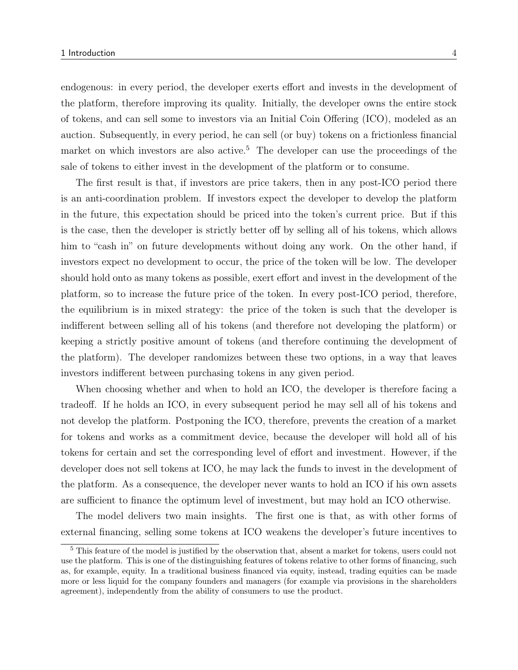endogenous: in every period, the developer exerts effort and invests in the development of the platform, therefore improving its quality. Initially, the developer owns the entire stock of tokens, and can sell some to investors via an Initial Coin Offering (ICO), modeled as an auction. Subsequently, in every period, he can sell (or buy) tokens on a frictionless financial market on which investors are also active.<sup>5</sup> The developer can use the proceedings of the sale of tokens to either invest in the development of the platform or to consume.

The first result is that, if investors are price takers, then in any post-ICO period there is an anti-coordination problem. If investors expect the developer to develop the platform in the future, this expectation should be priced into the token's current price. But if this is the case, then the developer is strictly better off by selling all of his tokens, which allows him to "cash in" on future developments without doing any work. On the other hand, if investors expect no development to occur, the price of the token will be low. The developer should hold onto as many tokens as possible, exert effort and invest in the development of the platform, so to increase the future price of the token. In every post-ICO period, therefore, the equilibrium is in mixed strategy: the price of the token is such that the developer is indifferent between selling all of his tokens (and therefore not developing the platform) or keeping a strictly positive amount of tokens (and therefore continuing the development of the platform). The developer randomizes between these two options, in a way that leaves investors indifferent between purchasing tokens in any given period.

When choosing whether and when to hold an ICO, the developer is therefore facing a tradeoff. If he holds an ICO, in every subsequent period he may sell all of his tokens and not develop the platform. Postponing the ICO, therefore, prevents the creation of a market for tokens and works as a commitment device, because the developer will hold all of his tokens for certain and set the corresponding level of effort and investment. However, if the developer does not sell tokens at ICO, he may lack the funds to invest in the development of the platform. As a consequence, the developer never wants to hold an ICO if his own assets are sufficient to finance the optimum level of investment, but may hold an ICO otherwise.

The model delivers two main insights. The first one is that, as with other forms of external financing, selling some tokens at ICO weakens the developer's future incentives to

<sup>&</sup>lt;sup>5</sup> This feature of the model is justified by the observation that, absent a market for tokens, users could not use the platform. This is one of the distinguishing features of tokens relative to other forms of financing, such as, for example, equity. In a traditional business financed via equity, instead, trading equities can be made more or less liquid for the company founders and managers (for example via provisions in the shareholders agreement), independently from the ability of consumers to use the product.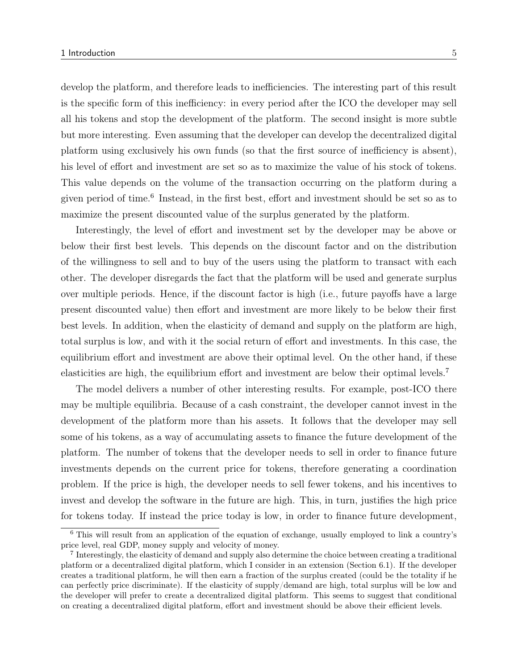develop the platform, and therefore leads to inefficiencies. The interesting part of this result is the specific form of this inefficiency: in every period after the ICO the developer may sell all his tokens and stop the development of the platform. The second insight is more subtle but more interesting. Even assuming that the developer can develop the decentralized digital platform using exclusively his own funds (so that the first source of inefficiency is absent), his level of effort and investment are set so as to maximize the value of his stock of tokens. This value depends on the volume of the transaction occurring on the platform during a given period of time.<sup>6</sup> Instead, in the first best, effort and investment should be set so as to maximize the present discounted value of the surplus generated by the platform.

Interestingly, the level of effort and investment set by the developer may be above or below their first best levels. This depends on the discount factor and on the distribution of the willingness to sell and to buy of the users using the platform to transact with each other. The developer disregards the fact that the platform will be used and generate surplus over multiple periods. Hence, if the discount factor is high (i.e., future payoffs have a large present discounted value) then effort and investment are more likely to be below their first best levels. In addition, when the elasticity of demand and supply on the platform are high, total surplus is low, and with it the social return of effort and investments. In this case, the equilibrium effort and investment are above their optimal level. On the other hand, if these elasticities are high, the equilibrium effort and investment are below their optimal levels.<sup>7</sup>

The model delivers a number of other interesting results. For example, post-ICO there may be multiple equilibria. Because of a cash constraint, the developer cannot invest in the development of the platform more than his assets. It follows that the developer may sell some of his tokens, as a way of accumulating assets to finance the future development of the platform. The number of tokens that the developer needs to sell in order to finance future investments depends on the current price for tokens, therefore generating a coordination problem. If the price is high, the developer needs to sell fewer tokens, and his incentives to invest and develop the software in the future are high. This, in turn, justifies the high price for tokens today. If instead the price today is low, in order to finance future development,

<sup>6</sup> This will result from an application of the equation of exchange, usually employed to link a country's price level, real GDP, money supply and velocity of money.

<sup>7</sup> Interestingly, the elasticity of demand and supply also determine the choice between creating a traditional platform or a decentralized digital platform, which I consider in an extension (Section 6.1). If the developer creates a traditional platform, he will then earn a fraction of the surplus created (could be the totality if he can perfectly price discriminate). If the elasticity of supply/demand are high, total surplus will be low and the developer will prefer to create a decentralized digital platform. This seems to suggest that conditional on creating a decentralized digital platform, effort and investment should be above their efficient levels.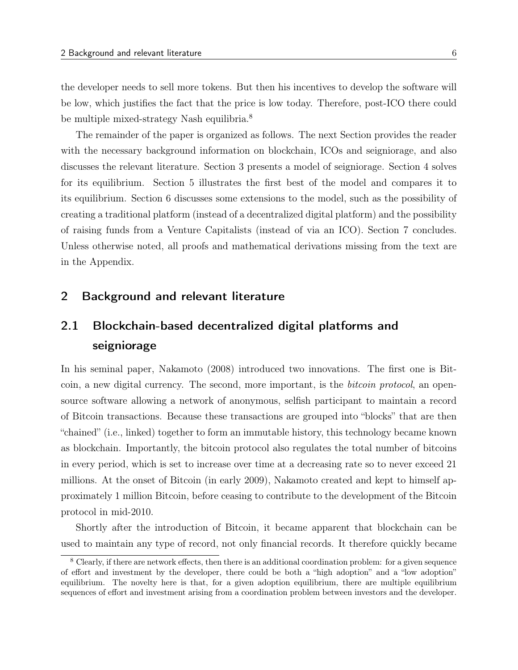the developer needs to sell more tokens. But then his incentives to develop the software will be low, which justifies the fact that the price is low today. Therefore, post-ICO there could be multiple mixed-strategy Nash equilibria.<sup>8</sup>

The remainder of the paper is organized as follows. The next Section provides the reader with the necessary background information on blockchain, ICOs and seigniorage, and also discusses the relevant literature. Section 3 presents a model of seigniorage. Section 4 solves for its equilibrium. Section 5 illustrates the first best of the model and compares it to its equilibrium. Section 6 discusses some extensions to the model, such as the possibility of creating a traditional platform (instead of a decentralized digital platform) and the possibility of raising funds from a Venture Capitalists (instead of via an ICO). Section 7 concludes. Unless otherwise noted, all proofs and mathematical derivations missing from the text are in the Appendix.

# 2 Background and relevant literature

# 2.1 Blockchain-based decentralized digital platforms and seigniorage

In his seminal paper, Nakamoto (2008) introduced two innovations. The first one is Bitcoin, a new digital currency. The second, more important, is the bitcoin protocol, an opensource software allowing a network of anonymous, selfish participant to maintain a record of Bitcoin transactions. Because these transactions are grouped into "blocks" that are then "chained" (i.e., linked) together to form an immutable history, this technology became known as blockchain. Importantly, the bitcoin protocol also regulates the total number of bitcoins in every period, which is set to increase over time at a decreasing rate so to never exceed 21 millions. At the onset of Bitcoin (in early 2009), Nakamoto created and kept to himself approximately 1 million Bitcoin, before ceasing to contribute to the development of the Bitcoin protocol in mid-2010.

Shortly after the introduction of Bitcoin, it became apparent that blockchain can be used to maintain any type of record, not only financial records. It therefore quickly became

<sup>8</sup> Clearly, if there are network effects, then there is an additional coordination problem: for a given sequence of effort and investment by the developer, there could be both a "high adoption" and a "low adoption" equilibrium. The novelty here is that, for a given adoption equilibrium, there are multiple equilibrium sequences of effort and investment arising from a coordination problem between investors and the developer.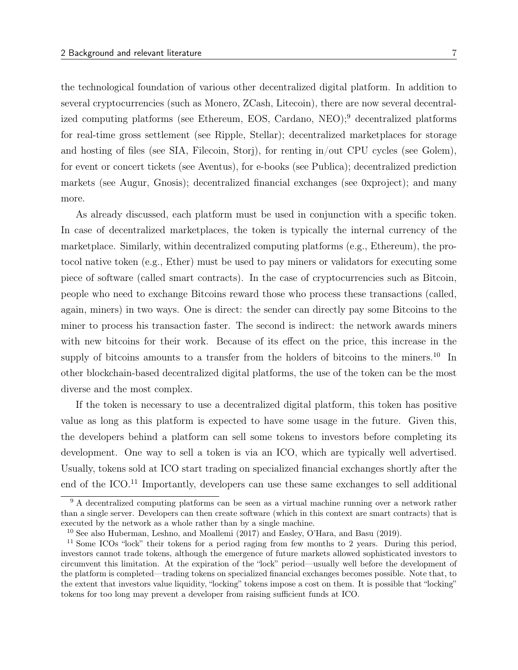the technological foundation of various other decentralized digital platform. In addition to several cryptocurrencies (such as Monero, ZCash, Litecoin), there are now several decentralized computing platforms (see Ethereum, EOS, Cardano, NEO);<sup>9</sup> decentralized platforms for real-time gross settlement (see Ripple, Stellar); decentralized marketplaces for storage and hosting of files (see SIA, Filecoin, Storj), for renting in/out CPU cycles (see Golem), for event or concert tickets (see Aventus), for e-books (see Publica); decentralized prediction markets (see Augur, Gnosis); decentralized financial exchanges (see 0xproject); and many more.

As already discussed, each platform must be used in conjunction with a specific token. In case of decentralized marketplaces, the token is typically the internal currency of the marketplace. Similarly, within decentralized computing platforms (e.g., Ethereum), the protocol native token (e.g., Ether) must be used to pay miners or validators for executing some piece of software (called smart contracts). In the case of cryptocurrencies such as Bitcoin, people who need to exchange Bitcoins reward those who process these transactions (called, again, miners) in two ways. One is direct: the sender can directly pay some Bitcoins to the miner to process his transaction faster. The second is indirect: the network awards miners with new bitcoins for their work. Because of its effect on the price, this increase in the supply of bitcoins amounts to a transfer from the holders of bitcoins to the miners.<sup>10</sup> In other blockchain-based decentralized digital platforms, the use of the token can be the most diverse and the most complex.

If the token is necessary to use a decentralized digital platform, this token has positive value as long as this platform is expected to have some usage in the future. Given this, the developers behind a platform can sell some tokens to investors before completing its development. One way to sell a token is via an ICO, which are typically well advertised. Usually, tokens sold at ICO start trading on specialized financial exchanges shortly after the end of the ICO.<sup>11</sup> Importantly, developers can use these same exchanges to sell additional

 $9 \text{ A decentralized computing platforms can be seen as a virtual machine running over a network rather.}$ than a single server. Developers can then create software (which in this context are smart contracts) that is executed by the network as a whole rather than by a single machine.

<sup>&</sup>lt;sup>10</sup> See also Huberman, Leshno, and Moallemi (2017) and Easley, O'Hara, and Basu (2019).

<sup>&</sup>lt;sup>11</sup> Some ICOs "lock" their tokens for a period raging from few months to 2 years. During this period, investors cannot trade tokens, although the emergence of future markets allowed sophisticated investors to circumvent this limitation. At the expiration of the "lock" period—usually well before the development of the platform is completed—trading tokens on specialized financial exchanges becomes possible. Note that, to the extent that investors value liquidity, "locking" tokens impose a cost on them. It is possible that "locking" tokens for too long may prevent a developer from raising sufficient funds at ICO.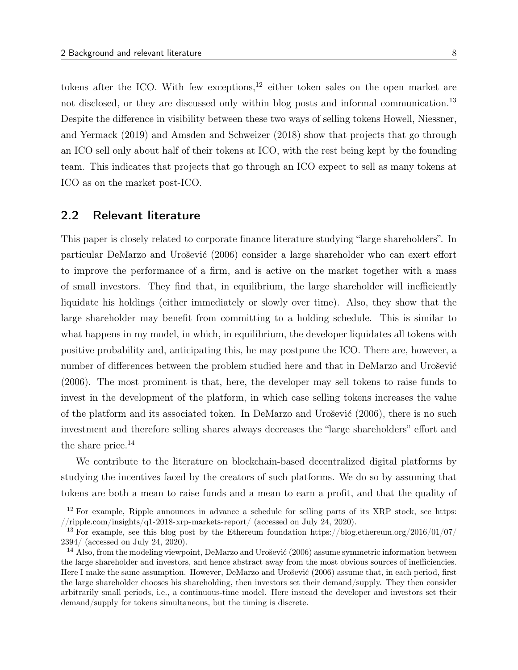tokens after the ICO. With few exceptions, $12$  either token sales on the open market are not disclosed, or they are discussed only within blog posts and informal communication.<sup>13</sup> Despite the difference in visibility between these two ways of selling tokens Howell, Niessner, and Yermack (2019) and Amsden and Schweizer (2018) show that projects that go through an ICO sell only about half of their tokens at ICO, with the rest being kept by the founding team. This indicates that projects that go through an ICO expect to sell as many tokens at ICO as on the market post-ICO.

# 2.2 Relevant literature

This paper is closely related to corporate finance literature studying "large shareholders". In particular DeMarzo and Urošević (2006) consider a large shareholder who can exert effort to improve the performance of a firm, and is active on the market together with a mass of small investors. They find that, in equilibrium, the large shareholder will inefficiently liquidate his holdings (either immediately or slowly over time). Also, they show that the large shareholder may benefit from committing to a holding schedule. This is similar to what happens in my model, in which, in equilibrium, the developer liquidates all tokens with positive probability and, anticipating this, he may postpone the ICO. There are, however, a number of differences between the problem studied here and that in DeMarzo and Urošević (2006). The most prominent is that, here, the developer may sell tokens to raise funds to invest in the development of the platform, in which case selling tokens increases the value of the platform and its associated token. In DeMarzo and Urošević (2006), there is no such investment and therefore selling shares always decreases the "large shareholders" effort and the share price.<sup>14</sup>

We contribute to the literature on blockchain-based decentralized digital platforms by studying the incentives faced by the creators of such platforms. We do so by assuming that tokens are both a mean to raise funds and a mean to earn a profit, and that the quality of

<sup>12</sup> For example, Ripple announces in advance a schedule for selling parts of its XRP stock, see https: //ripple.com/insights/q1-2018-xrp-markets-report/ (accessed on July 24, 2020).

<sup>&</sup>lt;sup>13</sup> For example, see this blog post by the Ethereum foundation https://blog.ethereum.org/2016/01/07/ 2394/ (accessed on July 24, 2020).

<sup>&</sup>lt;sup>14</sup> Also, from the modeling viewpoint, DeMarzo and Urošević (2006) assume symmetric information between the large shareholder and investors, and hence abstract away from the most obvious sources of inefficiencies. Here I make the same assumption. However, DeMarzo and Urošević (2006) assume that, in each period, first the large shareholder chooses his shareholding, then investors set their demand/supply. They then consider arbitrarily small periods, i.e., a continuous-time model. Here instead the developer and investors set their demand/supply for tokens simultaneous, but the timing is discrete.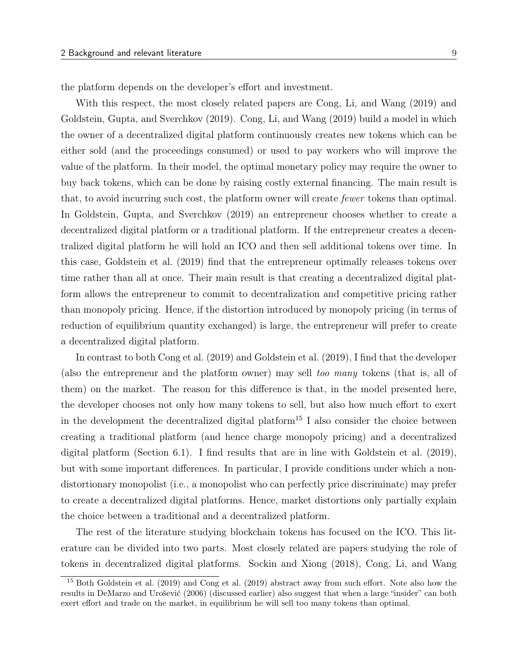the platform depends on the developer's effort and investment.

With this respect, the most closely related papers are Cong, Li, and Wang (2019) and Goldstein, Gupta, and Sverchkov (2019). Cong, Li, and Wang (2019) build a model in which the owner of a decentralized digital platform continuously creates new tokens which can be either sold (and the proceedings consumed) or used to pay workers who will improve the value of the platform. In their model, the optimal monetary policy may require the owner to buy back tokens, which can be done by raising costly external financing. The main result is that, to avoid incurring such cost, the platform owner will create fewer tokens than optimal. In Goldstein, Gupta, and Sverchkov (2019) an entrepreneur chooses whether to create a decentralized digital platform or a traditional platform. If the entrepreneur creates a decentralized digital platform he will hold an ICO and then sell additional tokens over time. In this case, Goldstein et al. (2019) find that the entrepreneur optimally releases tokens over time rather than all at once. Their main result is that creating a decentralized digital platform allows the entrepreneur to commit to decentralization and competitive pricing rather than monopoly pricing. Hence, if the distortion introduced by monopoly pricing (in terms of reduction of equilibrium quantity exchanged) is large, the entrepreneur will prefer to create a decentralized digital platform.

In contrast to both Cong et al. (2019) and Goldstein et al. (2019), I find that the developer (also the entrepreneur and the platform owner) may sell too many tokens (that is, all of them) on the market. The reason for this difference is that, in the model presented here, the developer chooses not only how many tokens to sell, but also how much effort to exert in the development the decentralized digital platform<sup>15</sup> I also consider the choice between creating a traditional platform (and hence charge monopoly pricing) and a decentralized digital platform (Section 6.1). I find results that are in line with Goldstein et al. (2019), but with some important differences. In particular, I provide conditions under which a nondistortionary monopolist (i.e., a monopolist who can perfectly price discriminate) may prefer to create a decentralized digital platforms. Hence, market distortions only partially explain the choice between a traditional and a decentralized platform.

The rest of the literature studying blockchain tokens has focused on the ICO. This literature can be divided into two parts. Most closely related are papers studying the role of tokens in decentralized digital platforms. Sockin and Xiong (2018), Cong, Li, and Wang

<sup>15</sup> Both Goldstein et al. (2019) and Cong et al. (2019) abstract away from such effort. Note also how the results in DeMarzo and Urošević (2006) (discussed earlier) also suggest that when a large "insider" can both exert effort and trade on the market, in equilibrium he will sell too many tokens than optimal.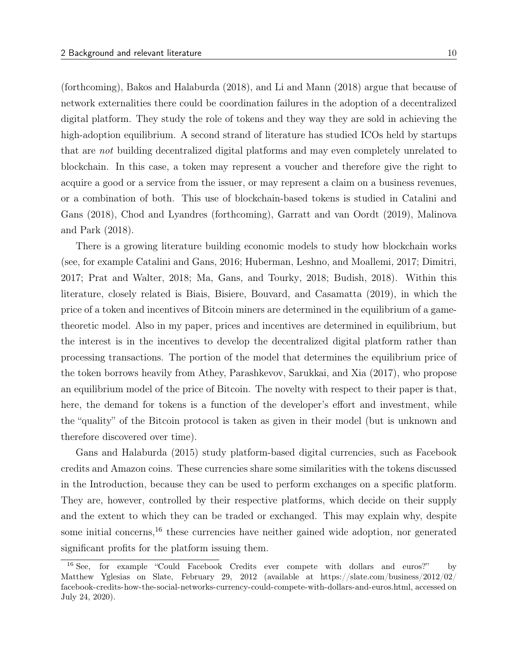(forthcoming), Bakos and Halaburda (2018), and Li and Mann (2018) argue that because of network externalities there could be coordination failures in the adoption of a decentralized digital platform. They study the role of tokens and they way they are sold in achieving the high-adoption equilibrium. A second strand of literature has studied ICOs held by startups that are not building decentralized digital platforms and may even completely unrelated to blockchain. In this case, a token may represent a voucher and therefore give the right to acquire a good or a service from the issuer, or may represent a claim on a business revenues, or a combination of both. This use of blockchain-based tokens is studied in Catalini and Gans (2018), Chod and Lyandres (forthcoming), Garratt and van Oordt (2019), Malinova and Park (2018).

There is a growing literature building economic models to study how blockchain works (see, for example Catalini and Gans, 2016; Huberman, Leshno, and Moallemi, 2017; Dimitri, 2017; Prat and Walter, 2018; Ma, Gans, and Tourky, 2018; Budish, 2018). Within this literature, closely related is Biais, Bisiere, Bouvard, and Casamatta (2019), in which the price of a token and incentives of Bitcoin miners are determined in the equilibrium of a gametheoretic model. Also in my paper, prices and incentives are determined in equilibrium, but the interest is in the incentives to develop the decentralized digital platform rather than processing transactions. The portion of the model that determines the equilibrium price of the token borrows heavily from Athey, Parashkevov, Sarukkai, and Xia (2017), who propose an equilibrium model of the price of Bitcoin. The novelty with respect to their paper is that, here, the demand for tokens is a function of the developer's effort and investment, while the "quality" of the Bitcoin protocol is taken as given in their model (but is unknown and therefore discovered over time).

Gans and Halaburda (2015) study platform-based digital currencies, such as Facebook credits and Amazon coins. These currencies share some similarities with the tokens discussed in the Introduction, because they can be used to perform exchanges on a specific platform. They are, however, controlled by their respective platforms, which decide on their supply and the extent to which they can be traded or exchanged. This may explain why, despite some initial concerns,  $^{16}$  these currencies have neither gained wide adoption, nor generated significant profits for the platform issuing them.

<sup>16</sup> See, for example "Could Facebook Credits ever compete with dollars and euros?" by Matthew Yglesias on Slate, February 29, 2012 (available at https://slate.com/business/2012/02/ facebook-credits-how-the-social-networks-currency-could-compete-with-dollars-and-euros.html, accessed on July 24, 2020).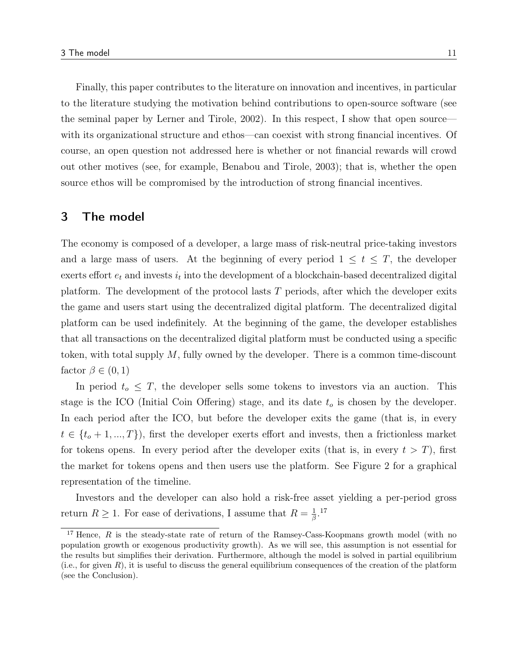Finally, this paper contributes to the literature on innovation and incentives, in particular to the literature studying the motivation behind contributions to open-source software (see the seminal paper by Lerner and Tirole, 2002). In this respect, I show that open source with its organizational structure and ethos—can coexist with strong financial incentives. Of course, an open question not addressed here is whether or not financial rewards will crowd out other motives (see, for example, Benabou and Tirole, 2003); that is, whether the open source ethos will be compromised by the introduction of strong financial incentives.

#### 3 The model

The economy is composed of a developer, a large mass of risk-neutral price-taking investors and a large mass of users. At the beginning of every period  $1 \leq t \leq T$ , the developer exerts effort  $e_t$  and invests  $i_t$  into the development of a blockchain-based decentralized digital platform. The development of the protocol lasts T periods, after which the developer exits the game and users start using the decentralized digital platform. The decentralized digital platform can be used indefinitely. At the beginning of the game, the developer establishes that all transactions on the decentralized digital platform must be conducted using a specific token, with total supply  $M$ , fully owned by the developer. There is a common time-discount factor  $\beta \in (0,1)$ 

In period  $t_o \leq T$ , the developer sells some tokens to investors via an auction. This stage is the ICO (Initial Coin Offering) stage, and its date  $t<sub>o</sub>$  is chosen by the developer. In each period after the ICO, but before the developer exits the game (that is, in every  $t \in \{t_o+1, ..., T\}$ , first the developer exerts effort and invests, then a frictionless market for tokens opens. In every period after the developer exits (that is, in every  $t > T$ ), first the market for tokens opens and then users use the platform. See Figure 2 for a graphical representation of the timeline.

Investors and the developer can also hold a risk-free asset yielding a per-period gross return  $R \geq 1$ . For ease of derivations, I assume that  $R = \frac{1}{\beta}$  $\frac{1}{\beta}$ .<sup>17</sup>

<sup>&</sup>lt;sup>17</sup> Hence, R is the steady-state rate of return of the Ramsey-Cass-Koopmans growth model (with no population growth or exogenous productivity growth). As we will see, this assumption is not essential for the results but simplifies their derivation. Furthermore, although the model is solved in partial equilibrium (i.e., for given R), it is useful to discuss the general equilibrium consequences of the creation of the platform (see the Conclusion).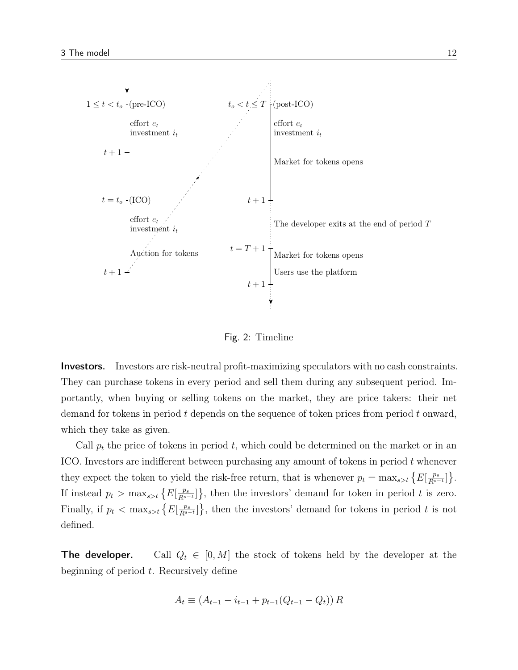

Fig. 2: Timeline

Investors. Investors are risk-neutral profit-maximizing speculators with no cash constraints. They can purchase tokens in every period and sell them during any subsequent period. Importantly, when buying or selling tokens on the market, they are price takers: their net demand for tokens in period  $t$  depends on the sequence of token prices from period  $t$  onward, which they take as given.

Call  $p_t$  the price of tokens in period t, which could be determined on the market or in an ICO. Investors are indifferent between purchasing any amount of tokens in period t whenever they expect the token to yield the risk-free return, that is whenever  $p_t = \max_{s>t} \left\{ E\left[\frac{p_s}{R^{s-t}}\right] \right\}$ . If instead  $p_t > \max_{s>t} \left\{ E\left[\frac{p_s}{R^{s-t}}\right] \right\}$ , then the investors' demand for token in period t is zero. Finally, if  $p_t < \max_{s>t} \{E[\frac{p_s}{R^{s-t}}]\}\$ , then the investors' demand for tokens in period t is not defined.

**The developer.** Call  $Q_t \in [0, M]$  the stock of tokens held by the developer at the beginning of period  $t$ . Recursively define

$$
A_t \equiv (A_{t-1} - i_{t-1} + p_{t-1}(Q_{t-1} - Q_t)) R
$$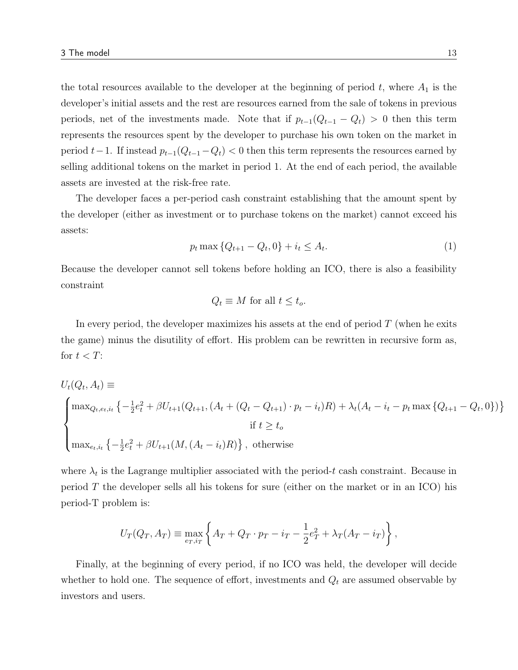the total resources available to the developer at the beginning of period  $t$ , where  $A_1$  is the developer's initial assets and the rest are resources earned from the sale of tokens in previous periods, net of the investments made. Note that if  $p_{t-1}(Q_{t-1} - Q_t) > 0$  then this term represents the resources spent by the developer to purchase his own token on the market in period  $t-1$ . If instead  $p_{t-1}(Q_{t-1}-Q_t) < 0$  then this term represents the resources earned by selling additional tokens on the market in period 1. At the end of each period, the available assets are invested at the risk-free rate.

The developer faces a per-period cash constraint establishing that the amount spent by the developer (either as investment or to purchase tokens on the market) cannot exceed his assets:

$$
p_t \max \{ Q_{t+1} - Q_t, 0 \} + i_t \le A_t.
$$
 (1)

Because the developer cannot sell tokens before holding an ICO, there is also a feasibility constraint

$$
Q_t \equiv M \text{ for all } t \leq t_o.
$$

In every period, the developer maximizes his assets at the end of period  $T$  (when he exits the game) minus the disutility of effort. His problem can be rewritten in recursive form as, for  $t < T$ :

$$
U_t(Q_t, A_t) \equiv
$$
\n
$$
\begin{cases}\n\max_{Q_t, e_t, i_t} \left\{ -\frac{1}{2} e_t^2 + \beta U_{t+1}(Q_{t+1}, (A_t + (Q_t - Q_{t+1}) \cdot p_t - i_t)R) + \lambda_t (A_t - i_t - p_t \max \{ Q_{t+1} - Q_t, 0 \}) \right\} \\
\text{if } t \ge t_o\n\end{cases}
$$
\n
$$
\text{max}_{e_t, i_t} \left\{ -\frac{1}{2} e_t^2 + \beta U_{t+1}(M, (A_t - i_t)R) \right\}, \text{ otherwise}
$$

where  $\lambda_t$  is the Lagrange multiplier associated with the period-t cash constraint. Because in period  $T$  the developer sells all his tokens for sure (either on the market or in an ICO) his period-T problem is:

$$
U_T(Q_T, A_T) \equiv \max_{e_T, i_T} \left\{ A_T + Q_T \cdot p_T - i_T - \frac{1}{2} e_T^2 + \lambda_T (A_T - i_T) \right\},\,
$$

Finally, at the beginning of every period, if no ICO was held, the developer will decide whether to hold one. The sequence of effort, investments and  $Q_t$  are assumed observable by investors and users.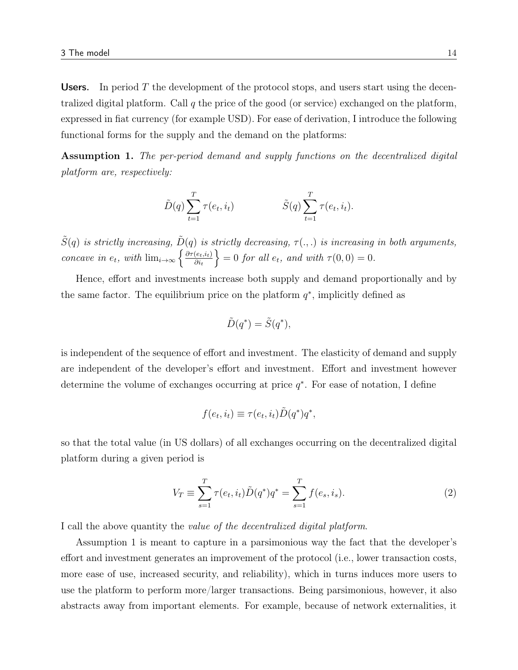**Users.** In period T the development of the protocol stops, and users start using the decentralized digital platform. Call q the price of the good (or service) exchanged on the platform, expressed in fiat currency (for example USD). For ease of derivation, I introduce the following functional forms for the supply and the demand on the platforms:

Assumption 1. The per-period demand and supply functions on the decentralized digital platform are, respectively:

$$
\tilde{D}(q) \sum_{t=1}^{T} \tau(e_t, i_t) \qquad \qquad \tilde{S}(q) \sum_{t=1}^{T} \tau(e_t, i_t).
$$

 $\tilde{S}(q)$  is strictly increasing,  $\tilde{D}(q)$  is strictly decreasing,  $\tau(.,.)$  is increasing in both arguments, concave in  $e_t$ , with  $\lim_{i\to\infty} \left\{ \frac{\partial \tau(e_t,i_t)}{\partial i_t} \right\}$  $\left\{\frac{(e_t, i_t)}{\partial i_t}\right\} = 0$  for all  $e_t$ , and with  $\tau(0, 0) = 0$ .

Hence, effort and investments increase both supply and demand proportionally and by the same factor. The equilibrium price on the platform  $q^*$ , implicitly defined as

$$
\tilde{D}(q^*) = \tilde{S}(q^*),
$$

is independent of the sequence of effort and investment. The elasticity of demand and supply are independent of the developer's effort and investment. Effort and investment however determine the volume of exchanges occurring at price  $q^*$ . For ease of notation, I define

$$
f(e_t, i_t) \equiv \tau(e_t, i_t) \tilde{D}(q^*) q^*,
$$

so that the total value (in US dollars) of all exchanges occurring on the decentralized digital platform during a given period is

$$
V_T \equiv \sum_{s=1}^T \tau(e_t, i_t) \tilde{D}(q^*) q^* = \sum_{s=1}^T f(e_s, i_s).
$$
 (2)

I call the above quantity the value of the decentralized digital platform.

Assumption 1 is meant to capture in a parsimonious way the fact that the developer's effort and investment generates an improvement of the protocol (i.e., lower transaction costs, more ease of use, increased security, and reliability), which in turns induces more users to use the platform to perform more/larger transactions. Being parsimonious, however, it also abstracts away from important elements. For example, because of network externalities, it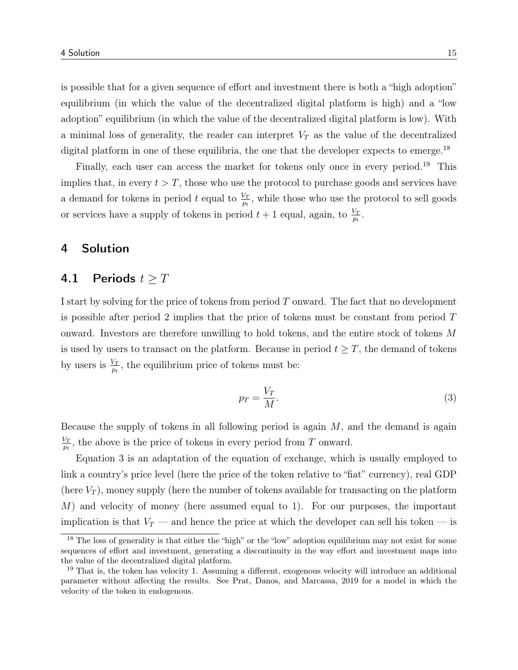is possible that for a given sequence of effort and investment there is both a "high adoption" equilibrium (in which the value of the decentralized digital platform is high) and a "low adoption" equilibrium (in which the value of the decentralized digital platform is low). With a minimal loss of generality, the reader can interpret  $V_T$  as the value of the decentralized digital platform in one of these equilibria, the one that the developer expects to emerge.<sup>18</sup>

Finally, each user can access the market for tokens only once in every period.<sup>19</sup> This implies that, in every  $t > T$ , those who use the protocol to purchase goods and services have a demand for tokens in period t equal to  $\frac{V_T}{p_t}$ , while those who use the protocol to sell goods or services have a supply of tokens in period  $t+1$  equal, again, to  $\frac{V_T}{p_t}$ .

# 4 Solution

### 4.1 Periods  $t \geq T$

I start by solving for the price of tokens from period T onward. The fact that no development is possible after period 2 implies that the price of tokens must be constant from period T onward. Investors are therefore unwilling to hold tokens, and the entire stock of tokens M is used by users to transact on the platform. Because in period  $t \geq T$ , the demand of tokens by users is  $\frac{V_T}{p_t}$ , the equilibrium price of tokens must be:

$$
p_T = \frac{V_T}{M}.\tag{3}
$$

Because the supply of tokens in all following period is again  $M$ , and the demand is again  $\frac{V_T}{2}$  $\frac{\partial \mathcal{L}_T}{\partial t}$ , the above is the price of tokens in every period from T onward.

Equation 3 is an adaptation of the equation of exchange, which is usually employed to link a country's price level (here the price of the token relative to "fiat" currency), real GDP (here  $V_T$ ), money supply (here the number of tokens available for transacting on the platform M) and velocity of money (here assumed equal to 1). For our purposes, the important implication is that  $V_T$  — and hence the price at which the developer can sell his token — is

<sup>&</sup>lt;sup>18</sup> The loss of generality is that either the "high" or the "low" adoption equilibrium may not exist for some sequences of effort and investment, generating a discontinuity in the way effort and investment maps into the value of the decentralized digital platform.

<sup>19</sup> That is, the token has velocity 1. Assuming a different, exogenous velocity will introduce an additional parameter without affecting the results. See Prat, Danos, and Marcassa, 2019 for a model in which the velocity of the token in endogenous.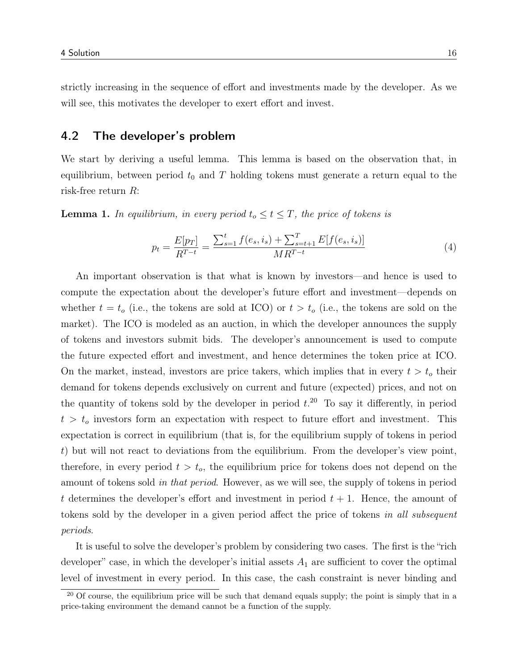strictly increasing in the sequence of effort and investments made by the developer. As we will see, this motivates the developer to exert effort and invest.

# 4.2 The developer's problem

We start by deriving a useful lemma. This lemma is based on the observation that, in equilibrium, between period  $t_0$  and T holding tokens must generate a return equal to the risk-free return R:

**Lemma 1.** In equilibrium, in every period  $t_o \le t \le T$ , the price of tokens is

$$
p_t = \frac{E[p_T]}{R^{T-t}} = \frac{\sum_{s=1}^t f(e_s, i_s) + \sum_{s=t+1}^T E[f(e_s, i_s)]}{M R^{T-t}}
$$
(4)

An important observation is that what is known by investors—and hence is used to compute the expectation about the developer's future effort and investment—depends on whether  $t = t_0$  (i.e., the tokens are sold at ICO) or  $t > t_0$  (i.e., the tokens are sold on the market). The ICO is modeled as an auction, in which the developer announces the supply of tokens and investors submit bids. The developer's announcement is used to compute the future expected effort and investment, and hence determines the token price at ICO. On the market, instead, investors are price takers, which implies that in every  $t > t_0$  their demand for tokens depends exclusively on current and future (expected) prices, and not on the quantity of tokens sold by the developer in period  $t.^{20}$  To say it differently, in period  $t > t<sub>o</sub>$  investors form an expectation with respect to future effort and investment. This expectation is correct in equilibrium (that is, for the equilibrium supply of tokens in period t) but will not react to deviations from the equilibrium. From the developer's view point, therefore, in every period  $t > t_o$ , the equilibrium price for tokens does not depend on the amount of tokens sold in that period. However, as we will see, the supply of tokens in period t determines the developer's effort and investment in period  $t + 1$ . Hence, the amount of tokens sold by the developer in a given period affect the price of tokens in all subsequent periods.

It is useful to solve the developer's problem by considering two cases. The first is the "rich developer" case, in which the developer's initial assets  $A_1$  are sufficient to cover the optimal level of investment in every period. In this case, the cash constraint is never binding and

 $20$  Of course, the equilibrium price will be such that demand equals supply; the point is simply that in a price-taking environment the demand cannot be a function of the supply.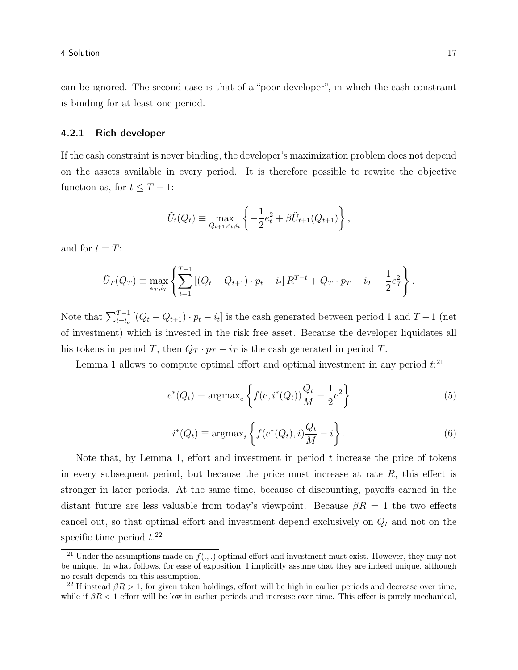can be ignored. The second case is that of a "poor developer", in which the cash constraint is binding for at least one period.

#### 4.2.1 Rich developer

If the cash constraint is never binding, the developer's maximization problem does not depend on the assets available in every period. It is therefore possible to rewrite the objective function as, for  $t \leq T - 1$ :

$$
\tilde{U}_t(Q_t) \equiv \max_{Q_{t+1}, e_t, i_t} \left\{ -\frac{1}{2} e_t^2 + \beta \tilde{U}_{t+1}(Q_{t+1}) \right\},\,
$$

and for  $t = T$ :

$$
\tilde{U}_T(Q_T) \equiv \max_{e_T, i_T} \left\{ \sum_{t=1}^{T-1} \left[ (Q_t - Q_{t+1}) \cdot p_t - i_t \right] R^{T-t} + Q_T \cdot p_T - i_T - \frac{1}{2} e_T^2 \right\}.
$$

Note that  $\sum_{t=t_0}^{T-1} [(Q_t - Q_{t+1}) \cdot p_t - i_t]$  is the cash generated between period 1 and  $T-1$  (net of investment) which is invested in the risk free asset. Because the developer liquidates all his tokens in period T, then  $Q_T \cdot p_T - i_T$  is the cash generated in period T.

Lemma 1 allows to compute optimal effort and optimal investment in any period  $t$ <sup>21</sup>

$$
e^*(Q_t) \equiv \operatorname{argmax}_e \left\{ f(e, i^*(Q_t)) \frac{Q_t}{M} - \frac{1}{2} e^2 \right\}
$$
 (5)

$$
i^*(Q_t) \equiv \operatorname{argmax}_i \left\{ f(e^*(Q_t), i) \frac{Q_t}{M} - i \right\}.
$$
 (6)

Note that, by Lemma 1, effort and investment in period  $t$  increase the price of tokens in every subsequent period, but because the price must increase at rate  $R$ , this effect is stronger in later periods. At the same time, because of discounting, payoffs earned in the distant future are less valuable from today's viewpoint. Because  $\beta R = 1$  the two effects cancel out, so that optimal effort and investment depend exclusively on  $Q_t$  and not on the specific time period  $t.^{22}$ 

<sup>&</sup>lt;sup>21</sup> Under the assumptions made on  $f(.,.)$  optimal effort and investment must exist. However, they may not be unique. In what follows, for ease of exposition, I implicitly assume that they are indeed unique, although no result depends on this assumption.

<sup>&</sup>lt;sup>22</sup> If instead  $\beta R > 1$ , for given token holdings, effort will be high in earlier periods and decrease over time, while if  $\beta R < 1$  effort will be low in earlier periods and increase over time. This effect is purely mechanical,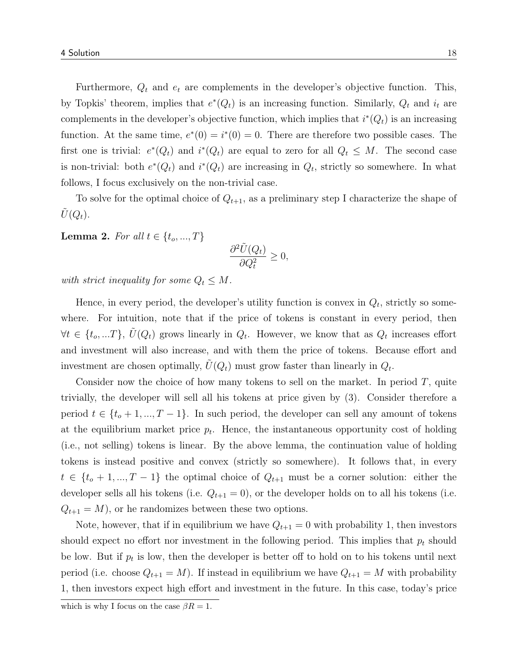Furthermore,  $Q_t$  and  $e_t$  are complements in the developer's objective function. This, by Topkis' theorem, implies that  $e^*(Q_t)$  is an increasing function. Similarly,  $Q_t$  and  $i_t$  are complements in the developer's objective function, which implies that  $i^*(Q_t)$  is an increasing function. At the same time,  $e^*(0) = i^*(0) = 0$ . There are therefore two possible cases. The first one is trivial:  $e^*(Q_t)$  and  $i^*(Q_t)$  are equal to zero for all  $Q_t \leq M$ . The second case is non-trivial: both  $e^*(Q_t)$  and  $i^*(Q_t)$  are increasing in  $Q_t$ , strictly so somewhere. In what follows, I focus exclusively on the non-trivial case.

To solve for the optimal choice of  $Q_{t+1}$ , as a preliminary step I characterize the shape of  $U(Q_t)$ .

**Lemma 2.** For all  $t \in \{t_0, ..., T\}$ 

$$
\frac{\partial^2 \tilde{U}(Q_t)}{\partial Q_t^2} \ge 0,
$$

with strict inequality for some  $Q_t \leq M$ .

Hence, in every period, the developer's utility function is convex in  $Q_t$ , strictly so somewhere. For intuition, note that if the price of tokens is constant in every period, then  $\forall t \in \{t_o, ...T\}, \tilde{U}(Q_t)$  grows linearly in  $Q_t$ . However, we know that as  $Q_t$  increases effort and investment will also increase, and with them the price of tokens. Because effort and investment are chosen optimally,  $\tilde{U}(Q_t)$  must grow faster than linearly in  $Q_t$ .

Consider now the choice of how many tokens to sell on the market. In period  $T$ , quite trivially, the developer will sell all his tokens at price given by (3). Consider therefore a period  $t \in \{t_o + 1, ..., T - 1\}$ . In such period, the developer can sell any amount of tokens at the equilibrium market price  $p_t$ . Hence, the instantaneous opportunity cost of holding (i.e., not selling) tokens is linear. By the above lemma, the continuation value of holding tokens is instead positive and convex (strictly so somewhere). It follows that, in every  $t \in \{t_o + 1, ..., T - 1\}$  the optimal choice of  $Q_{t+1}$  must be a corner solution: either the developer sells all his tokens (i.e.  $Q_{t+1} = 0$ ), or the developer holds on to all his tokens (i.e.  $Q_{t+1} = M$ , or he randomizes between these two options.

Note, however, that if in equilibrium we have  $Q_{t+1} = 0$  with probability 1, then investors should expect no effort nor investment in the following period. This implies that  $p_t$  should be low. But if  $p_t$  is low, then the developer is better off to hold on to his tokens until next period (i.e. choose  $Q_{t+1} = M$ ). If instead in equilibrium we have  $Q_{t+1} = M$  with probability 1, then investors expect high effort and investment in the future. In this case, today's price

which is why I focus on the case  $\beta R = 1$ .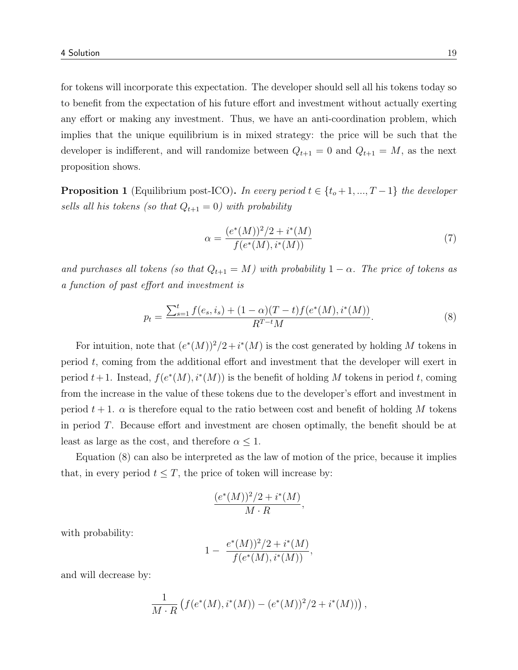for tokens will incorporate this expectation. The developer should sell all his tokens today so to benefit from the expectation of his future effort and investment without actually exerting any effort or making any investment. Thus, we have an anti-coordination problem, which implies that the unique equilibrium is in mixed strategy: the price will be such that the developer is indifferent, and will randomize between  $Q_{t+1} = 0$  and  $Q_{t+1} = M$ , as the next proposition shows.

**Proposition 1** (Equilibrium post-ICO). In every period  $t \in \{t_o+1, ..., T-1\}$  the developer sells all his tokens (so that  $Q_{t+1} = 0$ ) with probability

$$
\alpha = \frac{(e^*(M))^2/2 + i^*(M)}{f(e^*(M), i^*(M))}
$$
\n(7)

and purchases all tokens (so that  $Q_{t+1} = M$ ) with probability  $1 - \alpha$ . The price of tokens as a function of past effort and investment is

$$
p_t = \frac{\sum_{s=1}^t f(e_s, i_s) + (1 - \alpha)(T - t)f(e^*(M), i^*(M))}{R^{T-t}M}.
$$
\n(8)

For intuition, note that  $(e^*(M))^2/2 + i^*(M)$  is the cost generated by holding M tokens in period t, coming from the additional effort and investment that the developer will exert in period  $t+1$ . Instead,  $f(e^*(M), i^*(M))$  is the benefit of holding M tokens in period t, coming from the increase in the value of these tokens due to the developer's effort and investment in period  $t + 1$ .  $\alpha$  is therefore equal to the ratio between cost and benefit of holding M tokens in period T. Because effort and investment are chosen optimally, the benefit should be at least as large as the cost, and therefore  $\alpha \leq 1$ .

Equation (8) can also be interpreted as the law of motion of the price, because it implies that, in every period  $t \leq T$ , the price of token will increase by:

$$
\frac{(e^*(M))^2/2 + i^*(M)}{M \cdot R},
$$

with probability:

$$
1 - \frac{e^*(M))^2/2 + i^*(M)}{f(e^*(M), i^*(M))},
$$

and will decrease by:

$$
\frac{1}{M \cdot R} \left( f(e^*(M), i^*(M)) - (e^*(M))^2 / 2 + i^*(M) \right),
$$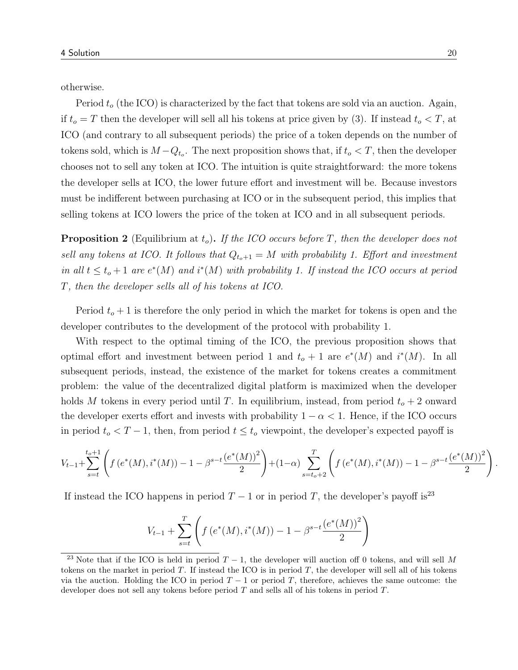otherwise.

Period  $t_o$  (the ICO) is characterized by the fact that tokens are sold via an auction. Again, if  $t_o = T$  then the developer will sell all his tokens at price given by (3). If instead  $t_o < T$ , at ICO (and contrary to all subsequent periods) the price of a token depends on the number of tokens sold, which is  $M - Q_{t_o}$ . The next proposition shows that, if  $t_o < T$ , then the developer chooses not to sell any token at ICO. The intuition is quite straightforward: the more tokens the developer sells at ICO, the lower future effort and investment will be. Because investors must be indifferent between purchasing at ICO or in the subsequent period, this implies that selling tokens at ICO lowers the price of the token at ICO and in all subsequent periods.

**Proposition 2** (Equilibrium at  $t_o$ ). If the ICO occurs before T, then the developer does not sell any tokens at ICO. It follows that  $Q_{t_0+1} = M$  with probability 1. Effort and investment in all  $t \leq t_o + 1$  are  $e^*(M)$  and  $i^*(M)$  with probability 1. If instead the ICO occurs at period T, then the developer sells all of his tokens at ICO.

Period  $t_o + 1$  is therefore the only period in which the market for tokens is open and the developer contributes to the development of the protocol with probability 1.

With respect to the optimal timing of the ICO, the previous proposition shows that optimal effort and investment between period 1 and  $t_o + 1$  are  $e^*(M)$  and  $i^*(M)$ . In all subsequent periods, instead, the existence of the market for tokens creates a commitment problem: the value of the decentralized digital platform is maximized when the developer holds M tokens in every period until T. In equilibrium, instead, from period  $t_o + 2$  onward the developer exerts effort and invests with probability  $1 - \alpha < 1$ . Hence, if the ICO occurs in period  $t_o < T-1$ , then, from period  $t \leq t_o$  viewpoint, the developer's expected payoff is

$$
V_{t-1} + \sum_{s=t}^{t_o+1} \left( f\left(e^*(M), i^*(M)\right) - 1 - \beta^{s-t} \frac{\left(e^*(M)\right)^2}{2}\right) + (1-\alpha) \sum_{s=t_o+2}^T \left( f\left(e^*(M), i^*(M)\right) - 1 - \beta^{s-t} \frac{\left(e^*(M)\right)^2}{2}\right)
$$

If instead the ICO happens in period  $T - 1$  or in period T, the developer's payoff is<sup>23</sup>

$$
V_{t-1} + \sum_{s=t}^{T} \left( f(e^*(M), i^*(M)) - 1 - \beta^{s-t} \frac{(e^*(M))^2}{2} \right)
$$

.

<sup>&</sup>lt;sup>23</sup> Note that if the ICO is held in period  $T-1$ , the developer will auction off 0 tokens, and will sell M tokens on the market in period  $T$ . If instead the ICO is in period  $T$ , the developer will sell all of his tokens via the auction. Holding the ICO in period  $T - 1$  or period T, therefore, achieves the same outcome: the developer does not sell any tokens before period T and sells all of his tokens in period T.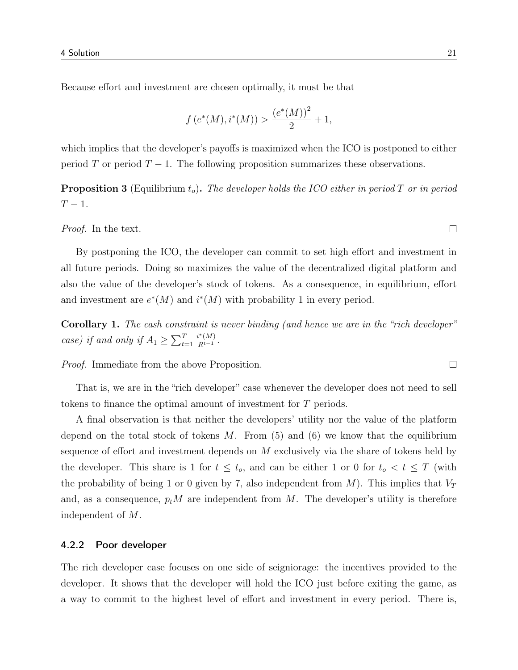Because effort and investment are chosen optimally, it must be that

$$
f(e^*(M), i^*(M)) > \frac{(e^*(M))^2}{2} + 1,
$$

which implies that the developer's payoffs is maximized when the ICO is postponed to either period T or period  $T - 1$ . The following proposition summarizes these observations.

**Proposition 3** (Equilibrium  $t_o$ ). The developer holds the ICO either in period T or in period  $T-1$ .

Proof. In the text.

By postponing the ICO, the developer can commit to set high effort and investment in all future periods. Doing so maximizes the value of the decentralized digital platform and also the value of the developer's stock of tokens. As a consequence, in equilibrium, effort and investment are  $e^*(M)$  and  $i^*(M)$  with probability 1 in every period.

Corollary 1. The cash constraint is never binding (and hence we are in the "rich developer" case) if and only if  $A_1 \geq \sum_{t=1}^T$  $i^*(M)$  $\frac{N(M)}{R^{t-1}}$ .

Proof. Immediate from the above Proposition.

That is, we are in the "rich developer" case whenever the developer does not need to sell tokens to finance the optimal amount of investment for T periods.

A final observation is that neither the developers' utility nor the value of the platform depend on the total stock of tokens  $M$ . From (5) and (6) we know that the equilibrium sequence of effort and investment depends on M exclusively via the share of tokens held by the developer. This share is 1 for  $t \leq t_o$ , and can be either 1 or 0 for  $t_o < t \leq T$  (with the probability of being 1 or 0 given by 7, also independent from  $M$ ). This implies that  $V_T$ and, as a consequence,  $p_t M$  are independent from M. The developer's utility is therefore independent of M.

#### 4.2.2 Poor developer

The rich developer case focuses on one side of seigniorage: the incentives provided to the developer. It shows that the developer will hold the ICO just before exiting the game, as a way to commit to the highest level of effort and investment in every period. There is,

 $\Box$ 

 $\Box$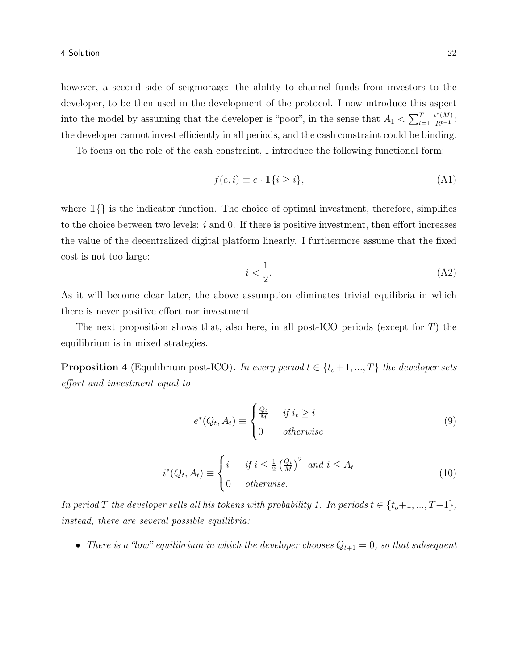however, a second side of seigniorage: the ability to channel funds from investors to the developer, to be then used in the development of the protocol. I now introduce this aspect into the model by assuming that the developer is "poor", in the sense that  $A_1 < \sum_{t=1}^{T}$  $i^*(M)$  $\frac{N(M)}{R^{t-1}}$ : the developer cannot invest efficiently in all periods, and the cash constraint could be binding.

To focus on the role of the cash constraint, I introduce the following functional form:

$$
f(e, i) \equiv e \cdot \mathbb{1}\{i \ge \bar{i}\},\tag{A1}
$$

where  $1\}$  is the indicator function. The choice of optimal investment, therefore, simplifies to the choice between two levels:  $\overline{i}$  and 0. If there is positive investment, then effort increases the value of the decentralized digital platform linearly. I furthermore assume that the fixed cost is not too large:

$$
\bar{i} < \frac{1}{2}.\tag{A2}
$$

As it will become clear later, the above assumption eliminates trivial equilibria in which there is never positive effort nor investment.

The next proposition shows that, also here, in all post-ICO periods (except for  $T$ ) the equilibrium is in mixed strategies.

**Proposition 4** (Equilibrium post-ICO). In every period  $t \in \{t_o+1, ..., T\}$  the developer sets effort and investment equal to

$$
e^*(Q_t, A_t) \equiv \begin{cases} \frac{Q_t}{M} & \text{if } i_t \ge \bar{i} \\ 0 & \text{otherwise} \end{cases}
$$
 (9)

$$
i^*(Q_t, A_t) \equiv \begin{cases} \bar{i} & \text{if } \bar{i} \le \frac{1}{2} \left(\frac{Q_t}{M}\right)^2 \text{ and } \bar{i} \le A_t \\ 0 & \text{otherwise.} \end{cases}
$$
(10)

In period T the developer sells all his tokens with probability 1. In periods  $t \in \{t_o+1, ..., T-1\}$ , instead, there are several possible equilibria:

• There is a "low" equilibrium in which the developer chooses  $Q_{t+1} = 0$ , so that subsequent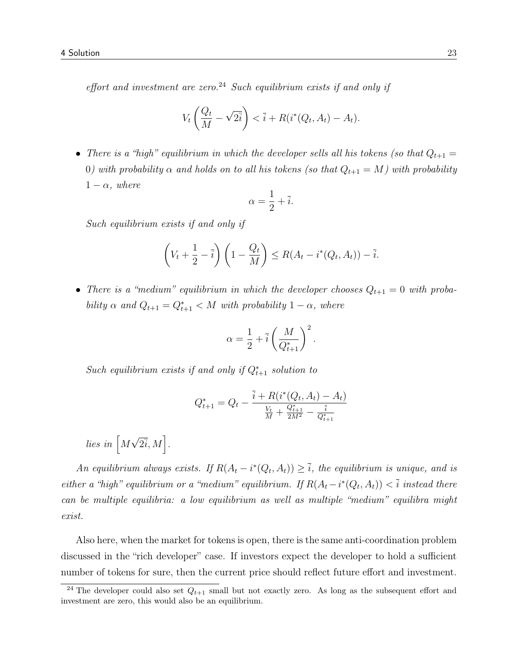effort and investment are zero.<sup>24</sup> Such equilibrium exists if and only if

$$
V_t\left(\frac{Q_t}{M} - \sqrt{2i}\right) < \bar{i} + R(i^*(Q_t, A_t) - A_t).
$$

• There is a "high" equilibrium in which the developer sells all his tokens (so that  $Q_{t+1} =$ 0) with probability  $\alpha$  and holds on to all his tokens (so that  $Q_{t+1} = M$ ) with probability  $1 - \alpha$ , where

$$
\alpha = \frac{1}{2} + \overline{i}.
$$

Such equilibrium exists if and only if

$$
\left(V_t+\frac{1}{2}-\overline{i}\right)\left(1-\frac{Q_t}{M}\right)\leq R(A_t-i^*(Q_t,A_t))-\overline{i}.
$$

• There is a "medium" equilibrium in which the developer chooses  $Q_{t+1} = 0$  with probability  $\alpha$  and  $Q_{t+1} = Q_{t+1}^* < M$  with probability  $1 - \alpha$ , where

$$
\alpha = \frac{1}{2} + \overline{i} \left( \frac{M}{Q_{t+1}^*} \right)^2
$$

.

Such equilibrium exists if and only if  $Q_{t+1}^*$  solution to

$$
Q_{t+1}^* = Q_t - \frac{\overline{i} + R(i^*(Q_t, A_t) - A_t)}{\frac{V_t}{M} + \frac{Q_{t+1}^*}{2M^2} - \frac{\overline{i}}{Q_{t+1}^*}}
$$

lies in  $\left[M\sqrt{2i}, M\right]$ .

An equilibrium always exists. If  $R(A_t - i^*(Q_t, A_t)) \geq \overline{i}$ , the equilibrium is unique, and is either a "high" equilibrium or a "medium" equilibrium. If  $R(A_t - i^*(Q_t, A_t)) < \overline{i}$  instead there can be multiple equilibria: a low equilibrium as well as multiple "medium" equilibra might exist.

Also here, when the market for tokens is open, there is the same anti-coordination problem discussed in the "rich developer" case. If investors expect the developer to hold a sufficient number of tokens for sure, then the current price should reflect future effort and investment.

<sup>&</sup>lt;sup>24</sup> The developer could also set  $Q_{t+1}$  small but not exactly zero. As long as the subsequent effort and investment are zero, this would also be an equilibrium.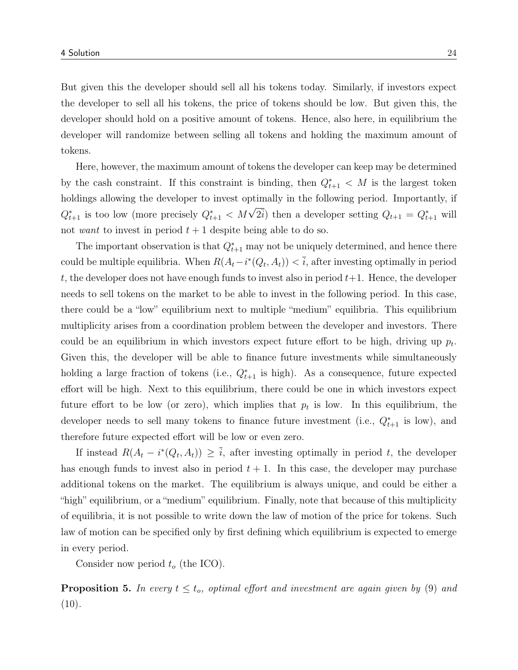But given this the developer should sell all his tokens today. Similarly, if investors expect the developer to sell all his tokens, the price of tokens should be low. But given this, the developer should hold on a positive amount of tokens. Hence, also here, in equilibrium the developer will randomize between selling all tokens and holding the maximum amount of tokens.

Here, however, the maximum amount of tokens the developer can keep may be determined by the cash constraint. If this constraint is binding, then  $Q_{t+1}^* < M$  is the largest token holdings allowing the developer to invest optimally in the following period. Importantly, if  $Q_{t+1}^*$  is too low (more precisely  $Q_{t+1}^* < M\sqrt{2i}$ ) then a developer setting  $Q_{t+1} = Q_{t+1}^*$  will not want to invest in period  $t + 1$  despite being able to do so.

The important observation is that  $Q_{t+1}^*$  may not be uniquely determined, and hence there could be multiple equilibria. When  $R(A_t - i^*(Q_t, A_t)) < \overline{i}$ , after investing optimally in period t, the developer does not have enough funds to invest also in period  $t+1$ . Hence, the developer needs to sell tokens on the market to be able to invest in the following period. In this case, there could be a "low" equilibrium next to multiple "medium" equilibria. This equilibrium multiplicity arises from a coordination problem between the developer and investors. There could be an equilibrium in which investors expect future effort to be high, driving up  $p_t$ . Given this, the developer will be able to finance future investments while simultaneously holding a large fraction of tokens (i.e.,  $Q_{t+1}^*$  is high). As a consequence, future expected effort will be high. Next to this equilibrium, there could be one in which investors expect future effort to be low (or zero), which implies that  $p_t$  is low. In this equilibrium, the developer needs to sell many tokens to finance future investment (i.e.,  $Q_{t+1}^*$  is low), and therefore future expected effort will be low or even zero.

If instead  $R(A_t - i^*(Q_t, A_t)) \geq \overline{i}$ , after investing optimally in period t, the developer has enough funds to invest also in period  $t + 1$ . In this case, the developer may purchase additional tokens on the market. The equilibrium is always unique, and could be either a "high" equilibrium, or a "medium" equilibrium. Finally, note that because of this multiplicity of equilibria, it is not possible to write down the law of motion of the price for tokens. Such law of motion can be specified only by first defining which equilibrium is expected to emerge in every period.

Consider now period  $t_o$  (the ICO).

**Proposition 5.** In every  $t \leq t_o$ , optimal effort and investment are again given by (9) and  $(10).$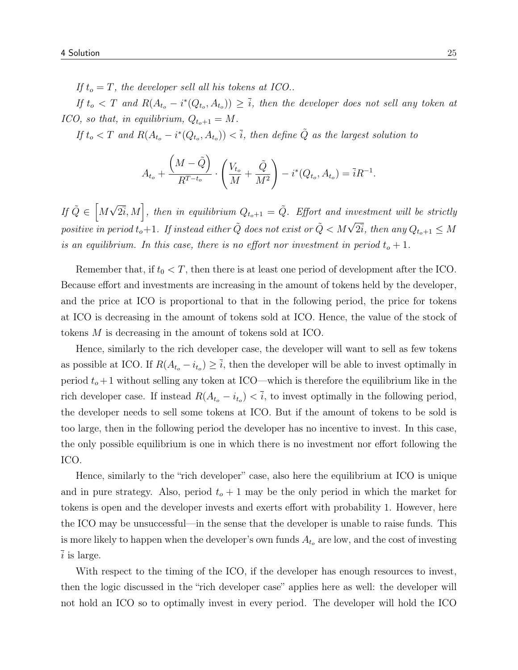If  $t_o = T$ , the developer sell all his tokens at ICO..

If  $t_o < T$  and  $R(A_{t_o} - i^*(Q_{t_o}, A_{t_o})) \geq \overline{i}$ , then the developer does not sell any token at ICO, so that, in equilibrium,  $Q_{t_o+1} = M$ .

If  $t_o < T$  and  $R(A_{t_o} - i^*(Q_{t_o}, A_{t_o})) < \overline{i}$ , then define  $\tilde{Q}$  as the largest solution to

$$
A_{t_o} + \frac{\left(M - \tilde{Q}\right)}{R^{T-t_o}} \cdot \left(\frac{V_{t_o}}{M} + \frac{\tilde{Q}}{M^2}\right) - i^*(Q_{t_o}, A_{t_o}) = \bar{i}R^{-1}.
$$

If  $\tilde{Q} \in \left[ M\sqrt{2\overline{i}}, M \right]$ , then in equilibrium  $Q_{t_0+1} = \tilde{Q}$ . Effort and investment will be strictly positive in period  $t_o+1$ . If instead either  $\tilde{Q}$  does not exist or  $\tilde{Q} < M\sqrt{2\overline{i}}$ , then any  $Q_{t_o+1} \leq M$ is an equilibrium. In this case, there is no effort nor investment in period  $t_o + 1$ .

Remember that, if  $t_0 < T$ , then there is at least one period of development after the ICO. Because effort and investments are increasing in the amount of tokens held by the developer, and the price at ICO is proportional to that in the following period, the price for tokens at ICO is decreasing in the amount of tokens sold at ICO. Hence, the value of the stock of tokens M is decreasing in the amount of tokens sold at ICO.

Hence, similarly to the rich developer case, the developer will want to sell as few tokens as possible at ICO. If  $R(A_{t_o} - i_{t_o}) \geq i$ , then the developer will be able to invest optimally in period  $t_o + 1$  without selling any token at ICO—which is therefore the equilibrium like in the rich developer case. If instead  $R(A_{t_o} - i_{t_o}) < i$ , to invest optimally in the following period, the developer needs to sell some tokens at ICO. But if the amount of tokens to be sold is too large, then in the following period the developer has no incentive to invest. In this case, the only possible equilibrium is one in which there is no investment nor effort following the ICO.

Hence, similarly to the "rich developer" case, also here the equilibrium at ICO is unique and in pure strategy. Also, period  $t_o + 1$  may be the only period in which the market for tokens is open and the developer invests and exerts effort with probability 1. However, here the ICO may be unsuccessful—in the sense that the developer is unable to raise funds. This is more likely to happen when the developer's own funds  $A_{t_o}$  are low, and the cost of investing  $\overline{i}$  is large.

With respect to the timing of the ICO, if the developer has enough resources to invest, then the logic discussed in the "rich developer case" applies here as well: the developer will not hold an ICO so to optimally invest in every period. The developer will hold the ICO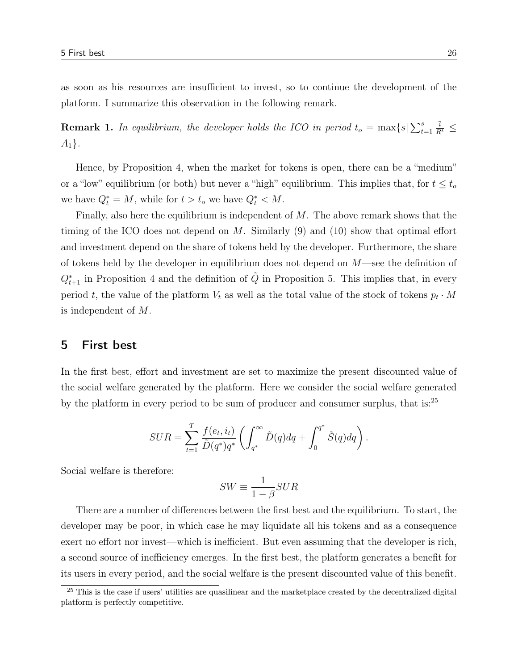as soon as his resources are insufficient to invest, so to continue the development of the platform. I summarize this observation in the following remark.

**Remark 1.** In equilibrium, the developer holds the ICO in period  $t_o = \max\{s | \sum_{t=1}^s s_t\}$  $\frac{\overline{i}}{R^t} \leq$  $A_1$ .

Hence, by Proposition 4, when the market for tokens is open, there can be a "medium" or a "low" equilibrium (or both) but never a "high" equilibrium. This implies that, for  $t \leq t_o$ we have  $Q_t^* = M$ , while for  $t > t_o$  we have  $Q_t^* < M$ .

Finally, also here the equilibrium is independent of  $M$ . The above remark shows that the timing of the ICO does not depend on  $M$ . Similarly (9) and (10) show that optimal effort and investment depend on the share of tokens held by the developer. Furthermore, the share of tokens held by the developer in equilibrium does not depend on  $M$ —see the definition of  $Q_{t+1}^*$  in Proposition 4 and the definition of  $\tilde{Q}$  in Proposition 5. This implies that, in every period t, the value of the platform  $V_t$  as well as the total value of the stock of tokens  $p_t \cdot M$ is independent of M.

## 5 First best

In the first best, effort and investment are set to maximize the present discounted value of the social welfare generated by the platform. Here we consider the social welfare generated by the platform in every period to be sum of producer and consumer surplus, that is:<sup>25</sup>

$$
SUR = \sum_{t=1}^{T} \frac{f(e_t, i_t)}{\tilde{D}(q^*)q^*} \left( \int_{q^*}^{\infty} \tilde{D}(q) dq + \int_0^{q^*} \tilde{S}(q) dq \right).
$$

Social welfare is therefore:

$$
SW \equiv \frac{1}{1 - \beta} SUR
$$

There are a number of differences between the first best and the equilibrium. To start, the developer may be poor, in which case he may liquidate all his tokens and as a consequence exert no effort nor invest—which is inefficient. But even assuming that the developer is rich, a second source of inefficiency emerges. In the first best, the platform generates a benefit for its users in every period, and the social welfare is the present discounted value of this benefit.

<sup>&</sup>lt;sup>25</sup> This is the case if users' utilities are quasilinear and the marketplace created by the decentralized digital platform is perfectly competitive.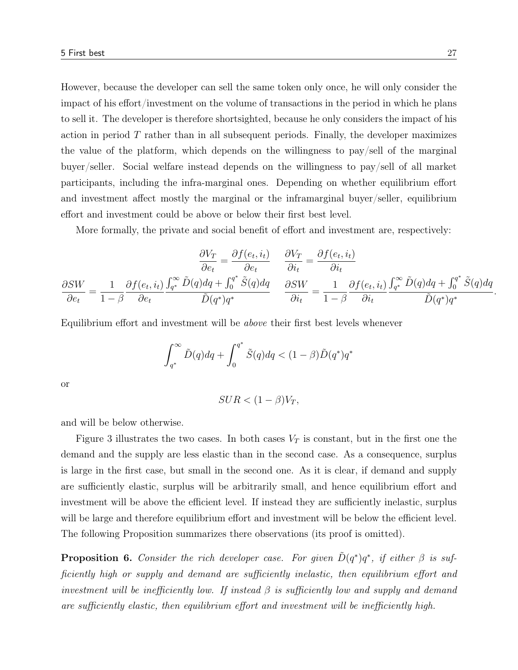However, because the developer can sell the same token only once, he will only consider the impact of his effort/investment on the volume of transactions in the period in which he plans to sell it. The developer is therefore shortsighted, because he only considers the impact of his action in period  $T$  rather than in all subsequent periods. Finally, the developer maximizes the value of the platform, which depends on the willingness to pay/sell of the marginal buyer/seller. Social welfare instead depends on the willingness to pay/sell of all market participants, including the infra-marginal ones. Depending on whether equilibrium effort and investment affect mostly the marginal or the inframarginal buyer/seller, equilibrium effort and investment could be above or below their first best level.

More formally, the private and social benefit of effort and investment are, respectively:

$$
\frac{\partial V_T}{\partial e_t} = \frac{\partial f(e_t, i_t)}{\partial e_t} \quad \frac{\partial V_T}{\partial i_t} = \frac{\partial f(e_t, i_t)}{\partial i_t}
$$
\n
$$
\frac{\partial SW}{\partial e_t} = \frac{1}{1 - \beta} \frac{\partial f(e_t, i_t)}{\partial e_t} \frac{\int_{q^*}^{\infty} \tilde{D}(q) dq + \int_0^{q^*} \tilde{S}(q) dq}{\tilde{D}(q^*)q^*} \quad \frac{\partial SW}{\partial i_t} = \frac{1}{1 - \beta} \frac{\partial f(e_t, i_t)}{\partial i_t} \frac{\int_{q^*}^{\infty} \tilde{D}(q) dq + \int_0^{q^*} \tilde{S}(q) dq}{\tilde{D}(q^*)q^*}
$$

Equilibrium effort and investment will be above their first best levels whenever

$$
\int_{q^*}^{\infty} \tilde{D}(q)dq + \int_0^{q^*} \tilde{S}(q)dq < (1-\beta)\tilde{D}(q^*)q^*
$$

or

$$
SUR < (1 - \beta)V_T,
$$

and will be below otherwise.

Figure 3 illustrates the two cases. In both cases  $V_T$  is constant, but in the first one the demand and the supply are less elastic than in the second case. As a consequence, surplus is large in the first case, but small in the second one. As it is clear, if demand and supply are sufficiently elastic, surplus will be arbitrarily small, and hence equilibrium effort and investment will be above the efficient level. If instead they are sufficiently inelastic, surplus will be large and therefore equilibrium effort and investment will be below the efficient level. The following Proposition summarizes there observations (its proof is omitted).

**Proposition 6.** Consider the rich developer case. For given  $\tilde{D}(q^*)q^*$ , if either  $\beta$  is sufficiently high or supply and demand are sufficiently inelastic, then equilibrium effort and investment will be inefficiently low. If instead  $\beta$  is sufficiently low and supply and demand are sufficiently elastic, then equilibrium effort and investment will be inefficiently high.

.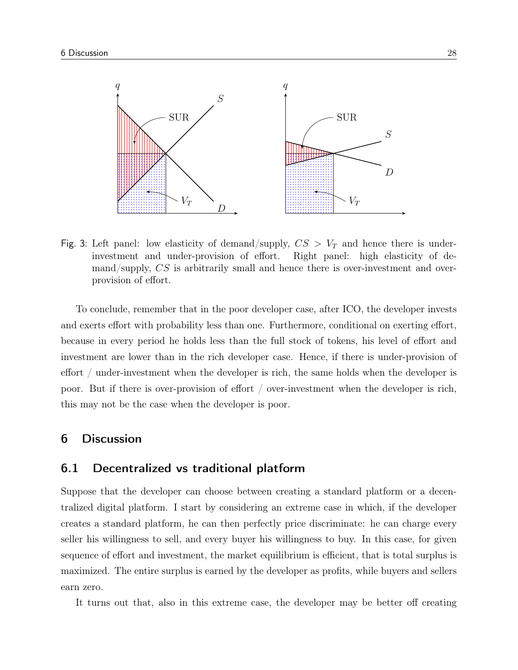

Fig. 3: Left panel: low elasticity of demand/supply,  $CS > V_T$  and hence there is underinvestment and under-provision of effort. Right panel: high elasticity of demand/supply, CS is arbitrarily small and hence there is over-investment and overprovision of effort.

To conclude, remember that in the poor developer case, after ICO, the developer invests and exerts effort with probability less than one. Furthermore, conditional on exerting effort, because in every period he holds less than the full stock of tokens, his level of effort and investment are lower than in the rich developer case. Hence, if there is under-provision of effort / under-investment when the developer is rich, the same holds when the developer is poor. But if there is over-provision of effort / over-investment when the developer is rich, this may not be the case when the developer is poor.

# 6 Discussion

## 6.1 Decentralized vs traditional platform

Suppose that the developer can choose between creating a standard platform or a decentralized digital platform. I start by considering an extreme case in which, if the developer creates a standard platform, he can then perfectly price discriminate: he can charge every seller his willingness to sell, and every buyer his willingness to buy. In this case, for given sequence of effort and investment, the market equilibrium is efficient, that is total surplus is maximized. The entire surplus is earned by the developer as profits, while buyers and sellers earn zero.

It turns out that, also in this extreme case, the developer may be better off creating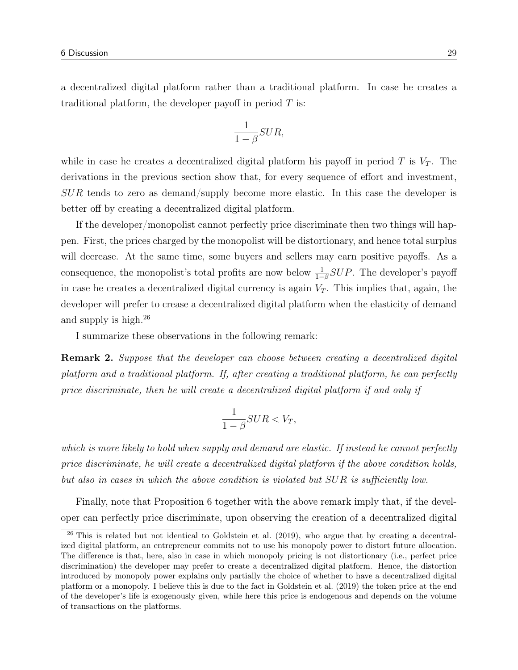a decentralized digital platform rather than a traditional platform. In case he creates a traditional platform, the developer payoff in period  $T$  is:

$$
\frac{1}{1-\beta} SUR,
$$

while in case he creates a decentralized digital platform his payoff in period  $T$  is  $V_T$ . The derivations in the previous section show that, for every sequence of effort and investment, SUR tends to zero as demand/supply become more elastic. In this case the developer is better off by creating a decentralized digital platform.

If the developer/monopolist cannot perfectly price discriminate then two things will happen. First, the prices charged by the monopolist will be distortionary, and hence total surplus will decrease. At the same time, some buyers and sellers may earn positive payoffs. As a consequence, the monopolist's total profits are now below  $\frac{1}{1-\beta}SUP$ . The developer's payoff in case he creates a decentralized digital currency is again  $V_T$ . This implies that, again, the developer will prefer to crease a decentralized digital platform when the elasticity of demand and supply is high.<sup>26</sup>

I summarize these observations in the following remark:

Remark 2. Suppose that the developer can choose between creating a decentralized digital platform and a traditional platform. If, after creating a traditional platform, he can perfectly price discriminate, then he will create a decentralized digital platform if and only if

$$
\frac{1}{1-\beta} SUR < V_T,
$$

which is more likely to hold when supply and demand are elastic. If instead he cannot perfectly price discriminate, he will create a decentralized digital platform if the above condition holds, but also in cases in which the above condition is violated but SUR is sufficiently low.

Finally, note that Proposition 6 together with the above remark imply that, if the developer can perfectly price discriminate, upon observing the creation of a decentralized digital

 $26$  This is related but not identical to Goldstein et al. (2019), who argue that by creating a decentralized digital platform, an entrepreneur commits not to use his monopoly power to distort future allocation. The difference is that, here, also in case in which monopoly pricing is not distortionary (i.e., perfect price discrimination) the developer may prefer to create a decentralized digital platform. Hence, the distortion introduced by monopoly power explains only partially the choice of whether to have a decentralized digital platform or a monopoly. I believe this is due to the fact in Goldstein et al. (2019) the token price at the end of the developer's life is exogenously given, while here this price is endogenous and depends on the volume of transactions on the platforms.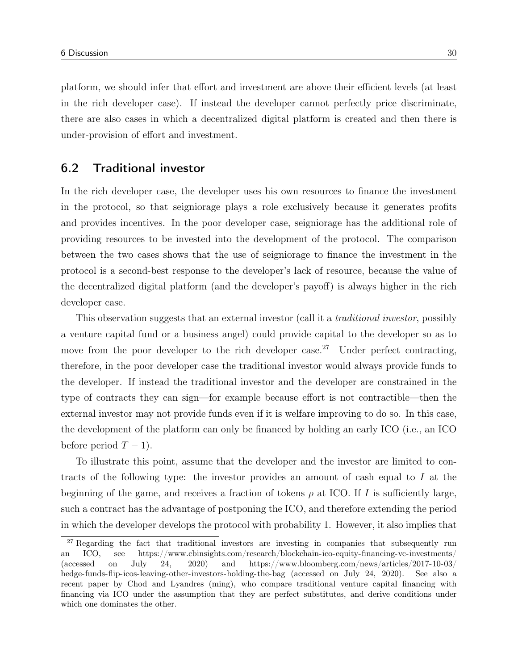platform, we should infer that effort and investment are above their efficient levels (at least in the rich developer case). If instead the developer cannot perfectly price discriminate, there are also cases in which a decentralized digital platform is created and then there is under-provision of effort and investment.

# 6.2 Traditional investor

In the rich developer case, the developer uses his own resources to finance the investment in the protocol, so that seigniorage plays a role exclusively because it generates profits and provides incentives. In the poor developer case, seigniorage has the additional role of providing resources to be invested into the development of the protocol. The comparison between the two cases shows that the use of seigniorage to finance the investment in the protocol is a second-best response to the developer's lack of resource, because the value of the decentralized digital platform (and the developer's payoff) is always higher in the rich developer case.

This observation suggests that an external investor (call it a *traditional investor*, possibly a venture capital fund or a business angel) could provide capital to the developer so as to move from the poor developer to the rich developer case.<sup>27</sup> Under perfect contracting, therefore, in the poor developer case the traditional investor would always provide funds to the developer. If instead the traditional investor and the developer are constrained in the type of contracts they can sign—for example because effort is not contractible—then the external investor may not provide funds even if it is welfare improving to do so. In this case, the development of the platform can only be financed by holding an early ICO (i.e., an ICO before period  $T - 1$ ).

To illustrate this point, assume that the developer and the investor are limited to contracts of the following type: the investor provides an amount of cash equal to I at the beginning of the game, and receives a fraction of tokens  $\rho$  at ICO. If I is sufficiently large, such a contract has the advantage of postponing the ICO, and therefore extending the period in which the developer develops the protocol with probability 1. However, it also implies that

<sup>&</sup>lt;sup>27</sup> Regarding the fact that traditional investors are investing in companies that subsequently run an ICO, see https://www.cbinsights.com/research/blockchain-ico-equity-financing-vc-investments/ (accessed on July 24, 2020) and https://www.bloomberg.com/news/articles/2017-10-03/ hedge-funds-flip-icos-leaving-other-investors-holding-the-bag (accessed on July 24, 2020). See also a recent paper by Chod and Lyandres (ming), who compare traditional venture capital financing with financing via ICO under the assumption that they are perfect substitutes, and derive conditions under which one dominates the other.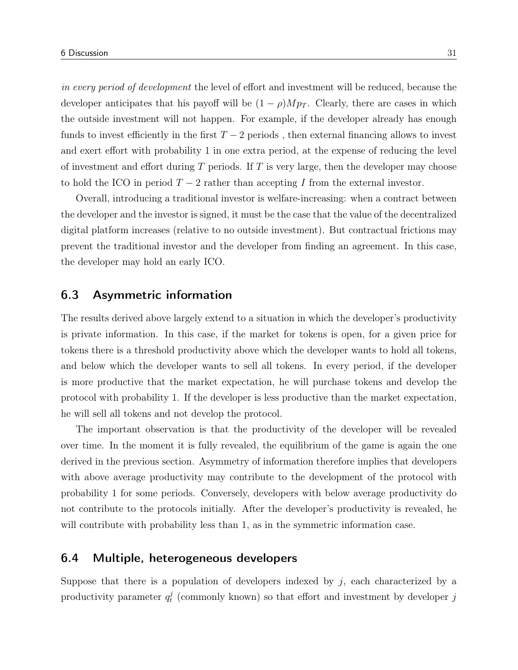in every period of development the level of effort and investment will be reduced, because the developer anticipates that his payoff will be  $(1 - \rho)Mp_T$ . Clearly, there are cases in which the outside investment will not happen. For example, if the developer already has enough funds to invest efficiently in the first  $T-2$  periods, then external financing allows to invest and exert effort with probability 1 in one extra period, at the expense of reducing the level of investment and effort during  $T$  periods. If  $T$  is very large, then the developer may choose to hold the ICO in period  $T - 2$  rather than accepting I from the external investor.

Overall, introducing a traditional investor is welfare-increasing: when a contract between the developer and the investor is signed, it must be the case that the value of the decentralized digital platform increases (relative to no outside investment). But contractual frictions may prevent the traditional investor and the developer from finding an agreement. In this case, the developer may hold an early ICO.

# 6.3 Asymmetric information

The results derived above largely extend to a situation in which the developer's productivity is private information. In this case, if the market for tokens is open, for a given price for tokens there is a threshold productivity above which the developer wants to hold all tokens, and below which the developer wants to sell all tokens. In every period, if the developer is more productive that the market expectation, he will purchase tokens and develop the protocol with probability 1. If the developer is less productive than the market expectation, he will sell all tokens and not develop the protocol.

The important observation is that the productivity of the developer will be revealed over time. In the moment it is fully revealed, the equilibrium of the game is again the one derived in the previous section. Asymmetry of information therefore implies that developers with above average productivity may contribute to the development of the protocol with probability 1 for some periods. Conversely, developers with below average productivity do not contribute to the protocols initially. After the developer's productivity is revealed, he will contribute with probability less than 1, as in the symmetric information case.

# 6.4 Multiple, heterogeneous developers

Suppose that there is a population of developers indexed by  $j$ , each characterized by a productivity parameter  $q_t^j$  $t_t^j$  (commonly known) so that effort and investment by developer j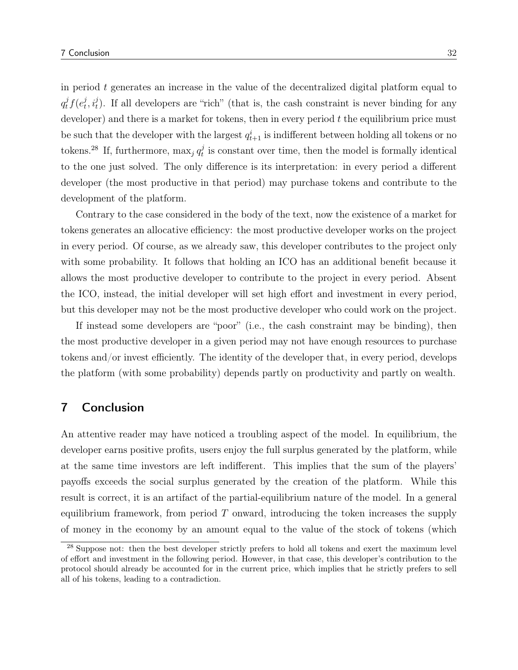in period  $t$  generates an increase in the value of the decentralized digital platform equal to  $q_t^j f(e_t^j)$  $(t, i_t^j)$ . If all developers are "rich" (that is, the cash constraint is never binding for any developer) and there is a market for tokens, then in every period  $t$  the equilibrium price must be such that the developer with the largest  $q_{t+1}^i$  is indifferent between holding all tokens or no tokens.<sup>28</sup> If, furthermore,  $\max_j q_t^j$  $t<sub>t</sub><sup>j</sup>$  is constant over time, then the model is formally identical to the one just solved. The only difference is its interpretation: in every period a different developer (the most productive in that period) may purchase tokens and contribute to the development of the platform.

Contrary to the case considered in the body of the text, now the existence of a market for tokens generates an allocative efficiency: the most productive developer works on the project in every period. Of course, as we already saw, this developer contributes to the project only with some probability. It follows that holding an ICO has an additional benefit because it allows the most productive developer to contribute to the project in every period. Absent the ICO, instead, the initial developer will set high effort and investment in every period, but this developer may not be the most productive developer who could work on the project.

If instead some developers are "poor" (i.e., the cash constraint may be binding), then the most productive developer in a given period may not have enough resources to purchase tokens and/or invest efficiently. The identity of the developer that, in every period, develops the platform (with some probability) depends partly on productivity and partly on wealth.

# 7 Conclusion

An attentive reader may have noticed a troubling aspect of the model. In equilibrium, the developer earns positive profits, users enjoy the full surplus generated by the platform, while at the same time investors are left indifferent. This implies that the sum of the players' payoffs exceeds the social surplus generated by the creation of the platform. While this result is correct, it is an artifact of the partial-equilibrium nature of the model. In a general equilibrium framework, from period  $T$  onward, introducing the token increases the supply of money in the economy by an amount equal to the value of the stock of tokens (which

<sup>&</sup>lt;sup>28</sup> Suppose not: then the best developer strictly prefers to hold all tokens and exert the maximum level of effort and investment in the following period. However, in that case, this developer's contribution to the protocol should already be accounted for in the current price, which implies that he strictly prefers to sell all of his tokens, leading to a contradiction.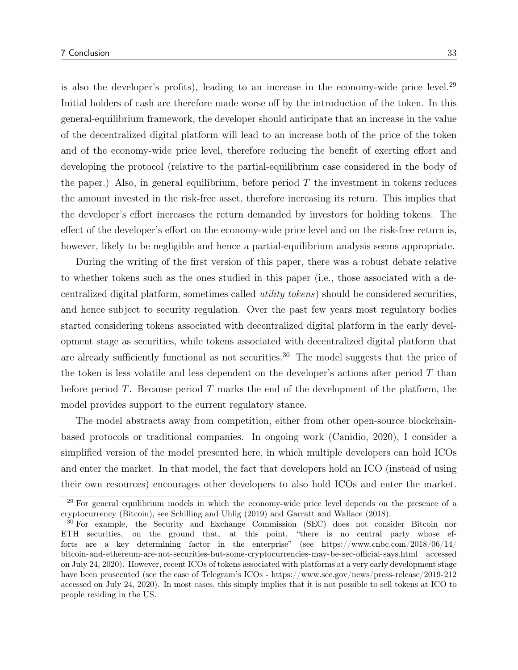is also the developer's profits), leading to an increase in the economy-wide price level.<sup>29</sup> Initial holders of cash are therefore made worse off by the introduction of the token. In this general-equilibrium framework, the developer should anticipate that an increase in the value of the decentralized digital platform will lead to an increase both of the price of the token and of the economy-wide price level, therefore reducing the benefit of exerting effort and developing the protocol (relative to the partial-equilibrium case considered in the body of the paper.) Also, in general equilibrium, before period  $T$  the investment in tokens reduces the amount invested in the risk-free asset, therefore increasing its return. This implies that the developer's effort increases the return demanded by investors for holding tokens. The effect of the developer's effort on the economy-wide price level and on the risk-free return is, however, likely to be negligible and hence a partial-equilibrium analysis seems appropriate.

During the writing of the first version of this paper, there was a robust debate relative to whether tokens such as the ones studied in this paper (i.e., those associated with a decentralized digital platform, sometimes called utility tokens) should be considered securities, and hence subject to security regulation. Over the past few years most regulatory bodies started considering tokens associated with decentralized digital platform in the early development stage as securities, while tokens associated with decentralized digital platform that are already sufficiently functional as not securities.<sup>30</sup> The model suggests that the price of the token is less volatile and less dependent on the developer's actions after period  $T$  than before period T. Because period T marks the end of the development of the platform, the model provides support to the current regulatory stance.

The model abstracts away from competition, either from other open-source blockchainbased protocols or traditional companies. In ongoing work (Canidio, 2020), I consider a simplified version of the model presented here, in which multiple developers can hold ICOs and enter the market. In that model, the fact that developers hold an ICO (instead of using their own resources) encourages other developers to also hold ICOs and enter the market.

<sup>&</sup>lt;sup>29</sup> For general equilibrium models in which the economy-wide price level depends on the presence of a cryptocurrency (Bitcoin), see Schilling and Uhlig (2019) and Garratt and Wallace (2018).

<sup>30</sup> For example, the Security and Exchange Commission (SEC) does not consider Bitcoin nor ETH securities, on the ground that, at this point, "there is no central party whose efforts are a key determining factor in the enterprise" (see https://www.cnbc.com/2018/06/14/ bitcoin-and-ethereum-are-not-securities-but-some-cryptocurrencies-may-be-sec-official-says.html accessed on July 24, 2020). However, recent ICOs of tokens associated with platforms at a very early development stage have been prosecuted (see the case of Telegram's ICOs - https://www.sec.gov/news/press-release/2019-212 accessed on July 24, 2020). In most cases, this simply implies that it is not possible to sell tokens at ICO to people residing in the US.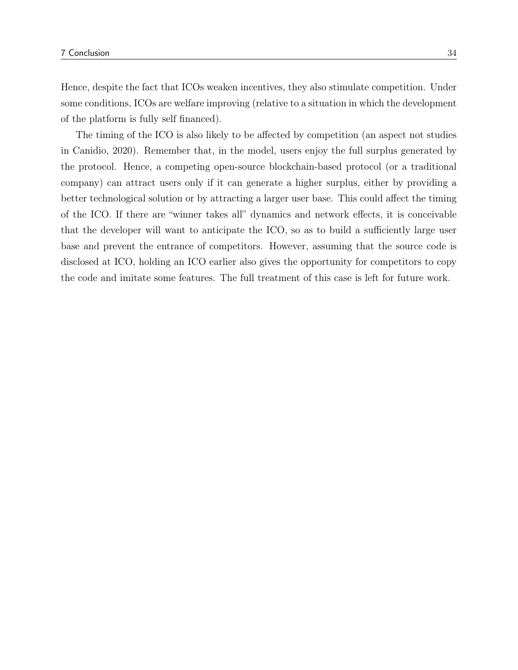Hence, despite the fact that ICOs weaken incentives, they also stimulate competition. Under some conditions, ICOs are welfare improving (relative to a situation in which the development of the platform is fully self financed).

The timing of the ICO is also likely to be affected by competition (an aspect not studies in Canidio, 2020). Remember that, in the model, users enjoy the full surplus generated by the protocol. Hence, a competing open-source blockchain-based protocol (or a traditional company) can attract users only if it can generate a higher surplus, either by providing a better technological solution or by attracting a larger user base. This could affect the timing of the ICO. If there are "winner takes all" dynamics and network effects, it is conceivable that the developer will want to anticipate the ICO, so as to build a sufficiently large user base and prevent the entrance of competitors. However, assuming that the source code is disclosed at ICO, holding an ICO earlier also gives the opportunity for competitors to copy the code and imitate some features. The full treatment of this case is left for future work.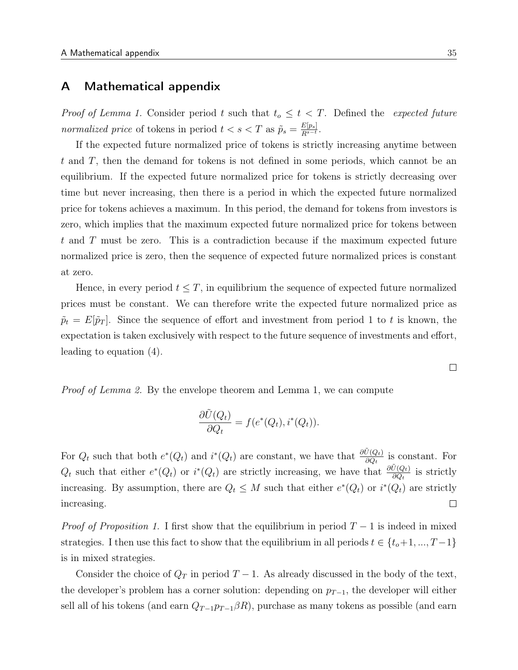# A Mathematical appendix

*Proof of Lemma 1.* Consider period t such that  $t_o \leq t < T$ . Defined the expected future normalized price of tokens in period  $t < s < T$  as  $\tilde{p}_s = \frac{E[p_s]}{R^{s-t}}$ .

If the expected future normalized price of tokens is strictly increasing anytime between t and T, then the demand for tokens is not defined in some periods, which cannot be an equilibrium. If the expected future normalized price for tokens is strictly decreasing over time but never increasing, then there is a period in which the expected future normalized price for tokens achieves a maximum. In this period, the demand for tokens from investors is zero, which implies that the maximum expected future normalized price for tokens between t and T must be zero. This is a contradiction because if the maximum expected future normalized price is zero, then the sequence of expected future normalized prices is constant at zero.

Hence, in every period  $t \leq T$ , in equilibrium the sequence of expected future normalized prices must be constant. We can therefore write the expected future normalized price as  $\tilde{p}_t = E[\tilde{p}_T]$ . Since the sequence of effort and investment from period 1 to t is known, the expectation is taken exclusively with respect to the future sequence of investments and effort, leading to equation (4).

*Proof of Lemma 2.* By the envelope theorem and Lemma 1, we can compute

$$
\frac{\partial \tilde{U}(Q_t)}{\partial Q_t} = f(e^*(Q_t), i^*(Q_t)).
$$

For  $Q_t$  such that both  $e^*(Q_t)$  and  $i^*(Q_t)$  are constant, we have that  $\frac{\partial \tilde{U}(Q_t)}{\partial Q_t}$  is constant. For  $Q_t$  such that either  $e^*(Q_t)$  or  $i^*(Q_t)$  are strictly increasing, we have that  $\frac{\partial \tilde{U}(Q_t)}{\partial Q_t}$  is strictly increasing. By assumption, there are  $Q_t \leq M$  such that either  $e^*(Q_t)$  or  $i^*(Q_t)$  are strictly  $\Box$ increasing.

*Proof of Proposition 1.* I first show that the equilibrium in period  $T - 1$  is indeed in mixed strategies. I then use this fact to show that the equilibrium in all periods  $t \in \{t_o+1, ..., T-1\}$ is in mixed strategies.

Consider the choice of  $Q_T$  in period  $T-1$ . As already discussed in the body of the text, the developer's problem has a corner solution: depending on  $p_{T-1}$ , the developer will either sell all of his tokens (and earn  $Q_{T-1}p_{T-1}\beta R$ ), purchase as many tokens as possible (and earn

 $\Box$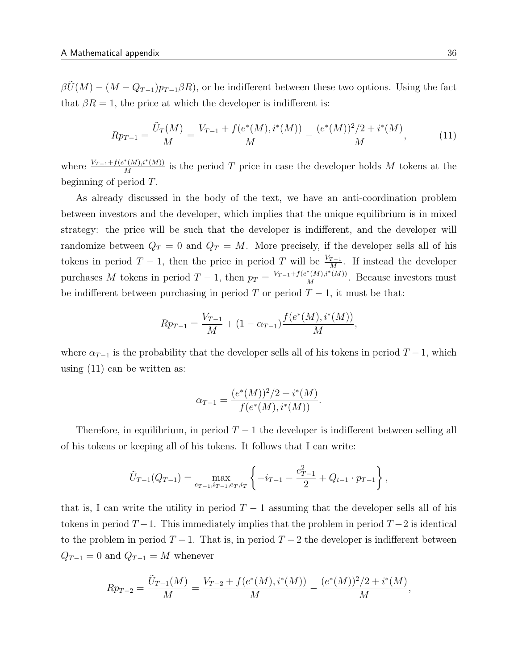$\beta\ddot{U}(M) - (M - Q_{T-1})p_{T-1}\beta R$ , or be indifferent between these two options. Using the fact that  $\beta R = 1$ , the price at which the developer is indifferent is:

$$
Rp_{T-1} = \frac{\tilde{U}_T(M)}{M} = \frac{V_{T-1} + f(e^*(M), i^*(M))}{M} - \frac{(e^*(M))^2/2 + i^*(M)}{M},\tag{11}
$$

where  $\frac{V_{T-1}+f(e^*(M),i^*(M))}{M}$  $\frac{N(M), i^{(M)}(M)}{M}$  is the period T price in case the developer holds M tokens at the beginning of period T.

As already discussed in the body of the text, we have an anti-coordination problem between investors and the developer, which implies that the unique equilibrium is in mixed strategy: the price will be such that the developer is indifferent, and the developer will randomize between  $Q_T = 0$  and  $Q_T = M$ . More precisely, if the developer sells all of his tokens in period  $T-1$ , then the price in period T will be  $\frac{V_{T-1}}{M}$ . If instead the developer purchases M tokens in period  $T-1$ , then  $p_T = \frac{V_{T-1} + f(e^*(M), i^*(M))}{M}$  $\frac{(M), i^-(M))}{M}$ . Because investors must be indifferent between purchasing in period T or period  $T-1$ , it must be that:

$$
Rp_{T-1} = \frac{V_{T-1}}{M} + (1 - \alpha_{T-1}) \frac{f(e^*(M), i^*(M))}{M},
$$

where  $\alpha_{T-1}$  is the probability that the developer sells all of his tokens in period  $T-1$ , which using (11) can be written as:

$$
\alpha_{T-1} = \frac{(e^*(M))^2/2 + i^*(M)}{f(e^*(M), i^*(M))}.
$$

Therefore, in equilibrium, in period  $T-1$  the developer is indifferent between selling all of his tokens or keeping all of his tokens. It follows that I can write:

$$
\tilde{U}_{T-1}(Q_{T-1}) = \max_{e_{T-1}, i_{T-1}, e_T, i_T} \left\{-i_{T-1} - \frac{e_{T-1}^2}{2} + Q_{t-1} \cdot p_{T-1}\right\},\,
$$

that is, I can write the utility in period  $T-1$  assuming that the developer sells all of his tokens in period  $T-1$ . This immediately implies that the problem in period  $T-2$  is identical to the problem in period  $T-1$ . That is, in period  $T-2$  the developer is indifferent between  $Q_{T-1} = 0$  and  $Q_{T-1} = M$  whenever

$$
Rp_{T-2} = \frac{\tilde{U}_{T-1}(M)}{M} = \frac{V_{T-2} + f(e^*(M), i^*(M))}{M} - \frac{(e^*(M))^2/2 + i^*(M)}{M},
$$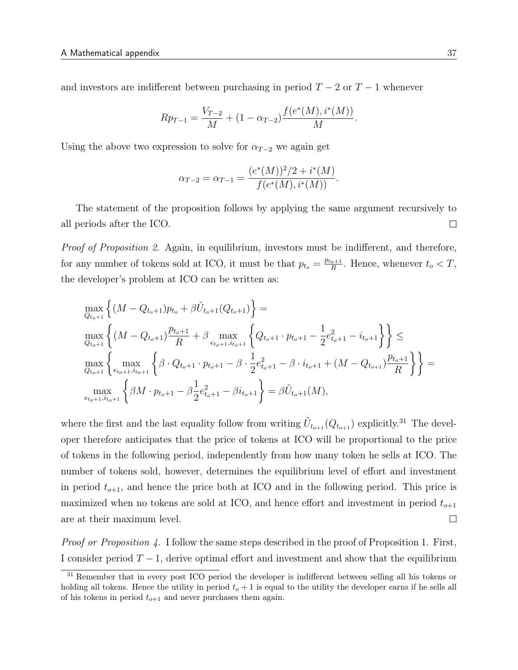and investors are indifferent between purchasing in period  $T - 2$  or  $T - 1$  whenever

$$
Rp_{T-1} = \frac{V_{T-2}}{M} + (1 - \alpha_{T-2}) \frac{f(e^*(M), i^*(M))}{M}.
$$

Using the above two expression to solve for  $\alpha_{T-2}$  we again get

$$
\alpha_{T-2} = \alpha_{T-1} = \frac{(e^*(M))^2/2 + i^*(M)}{f(e^*(M), i^*(M))}.
$$

The statement of the proposition follows by applying the same argument recursively to all periods after the ICO.  $\Box$ 

Proof of Proposition 2. Again, in equilibrium, investors must be indifferent, and therefore, for any number of tokens sold at ICO, it must be that  $p_{t_o} = \frac{p_{t_o+1}}{R}$  $\frac{e^{+1}}{R}$ . Hence, whenever  $t_o < T$ , the developer's problem at ICO can be written as:

$$
\max_{Q_{t_o+1}} \left\{ (M - Q_{t_o+1}) p_{t_o} + \beta \tilde{U}_{t_o+1}(Q_{t_o+1}) \right\} =
$$
\n
$$
\max_{Q_{t_o+1}} \left\{ (M - Q_{t_o+1}) \frac{p_{t_o+1}}{R} + \beta \max_{e_{t_o+1}, i_{t_o+1}} \left\{ Q_{t_o+1} \cdot p_{t_o+1} - \frac{1}{2} e_{t_o+1}^2 - i_{t_o+1} \right\} \right\} \le
$$
\n
$$
\max_{Q_{t_o+1}} \left\{ \max_{e_{t_o+1}, i_{t_o+1}} \left\{ \beta \cdot Q_{t_o+1} \cdot p_{t_o+1} - \beta \cdot \frac{1}{2} e_{t_o+1}^2 - \beta \cdot i_{t_o+1} + (M - Q_{t_o+1}) \frac{p_{t_o+1}}{R} \right\} \right\} =
$$
\n
$$
\max_{e_{t_o+1}, i_{t_o+1}} \left\{ \beta M \cdot p_{t_o+1} - \beta \frac{1}{2} e_{t_o+1}^2 - \beta i_{t_o+1} \right\} = \beta \tilde{U}_{t_o+1}(M),
$$

where the first and the last equality follow from writing  $\tilde{U}_{t_{o+1}}(Q_{t_{o+1}})$  explicitly.<sup>31</sup> The developer therefore anticipates that the price of tokens at ICO will be proportional to the price of tokens in the following period, independently from how many token he sells at ICO. The number of tokens sold, however, determines the equilibrium level of effort and investment in period  $t_{o+1}$ , and hence the price both at ICO and in the following period. This price is maximized when no tokens are sold at ICO, and hence effort and investment in period  $t_{o+1}$ are at their maximum level.  $\Box$ 

*Proof or Proposition 4.* I follow the same steps described in the proof of Proposition 1. First, I consider period  $T-1$ , derive optimal effort and investment and show that the equilibrium

<sup>&</sup>lt;sup>31</sup> Remember that in every post ICO period the developer is indifferent between selling all his tokens or holding all tokens. Hence the utility in period  $t_o + 1$  is equal to the utility the developer earns if he sells all of his tokens in period  $t_{o+1}$  and never purchases them again.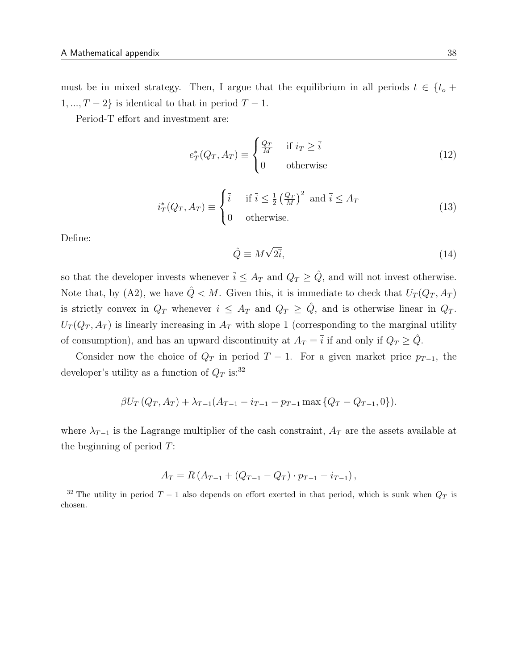must be in mixed strategy. Then, I argue that the equilibrium in all periods  $t \in \{t_o +$  $1, ..., T - 2$  is identical to that in period  $T - 1$ .

Period-T effort and investment are:

$$
e_T^*(Q_T, A_T) \equiv \begin{cases} \frac{Q_T}{M} & \text{if } i_T \ge \bar{i} \\ 0 & \text{otherwise} \end{cases}
$$
 (12)

$$
i_T^*(Q_T, A_T) \equiv \begin{cases} \bar{i} & \text{if } \bar{i} \le \frac{1}{2} \left(\frac{Q_T}{M}\right)^2 \text{ and } \bar{i} \le A_T\\ 0 & \text{otherwise.} \end{cases} \tag{13}
$$

Define:

$$
\hat{Q} \equiv M\sqrt{2\bar{i}},\tag{14}
$$

so that the developer invests whenever  $\bar{i} \leq A_T$  and  $Q_T \geq \hat{Q}$ , and will not invest otherwise. Note that, by (A2), we have  $\hat{Q} < M$ . Given this, it is immediate to check that  $U_T(Q_T, A_T)$ is strictly convex in  $Q_T$  whenever  $\bar{i} \leq A_T$  and  $Q_T \geq \hat{Q}$ , and is otherwise linear in  $Q_T$ .  $U_T(Q_T, A_T)$  is linearly increasing in  $A_T$  with slope 1 (corresponding to the marginal utility of consumption), and has an upward discontinuity at  $A_T = \overline{i}$  if and only if  $Q_T \geq \hat{Q}$ .

Consider now the choice of  $Q_T$  in period  $T-1$ . For a given market price  $p_{T-1}$ , the developer's utility as a function of  $Q_T$  is:<sup>32</sup>

$$
\beta U_T (Q_T, A_T) + \lambda_{T-1} (A_{T-1} - i_{T-1} - p_{T-1} \max \{ Q_T - Q_{T-1}, 0 \}).
$$

where  $\lambda_{T-1}$  is the Lagrange multiplier of the cash constraint,  $A_T$  are the assets available at the beginning of period  $T$ :

$$
A_T = R (A_{T-1} + (Q_{T-1} - Q_T) \cdot p_{T-1} - i_{T-1}),
$$

<sup>&</sup>lt;sup>32</sup> The utility in period  $T-1$  also depends on effort exerted in that period, which is sunk when  $Q_T$  is chosen.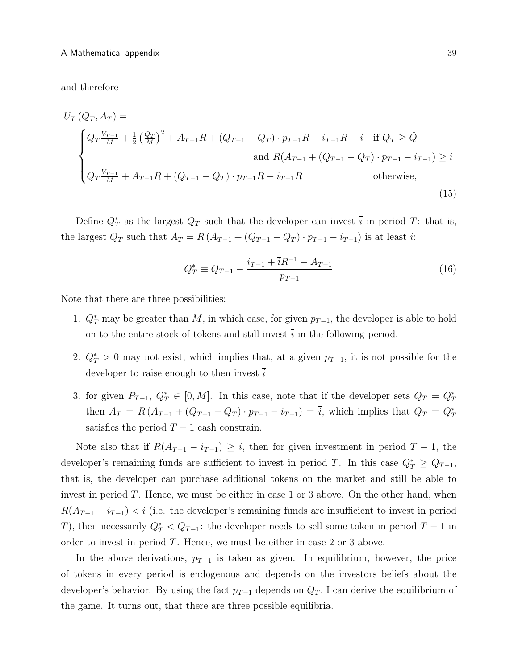and therefore

$$
U_T (Q_T, A_T) =
$$
\n
$$
\begin{cases}\nQ_T \frac{V_{T-1}}{M} + \frac{1}{2} \left(\frac{Q_T}{M}\right)^2 + A_{T-1} R + (Q_{T-1} - Q_T) \cdot p_{T-1} R - i_{T-1} R - \bar{i} & \text{if } Q_T \ge \hat{Q} \\
\text{and } R(A_{T-1} + (Q_{T-1} - Q_T) \cdot p_{T-1} - i_{T-1}) \ge \bar{i} \\
Q_T \frac{V_{T-1}}{M} + A_{T-1} R + (Q_{T-1} - Q_T) \cdot p_{T-1} R - i_{T-1} R & \text{otherwise,} \n\end{cases}
$$
\n(15)

Define  $Q_T^*$  as the largest  $Q_T$  such that the developer can invest  $\bar{i}$  in period T: that is, the largest  $Q_T$  such that  $A_T = R (A_{T-1} + (Q_{T-1} - Q_T) \cdot p_{T-1} - i_{T-1})$  is at least  $\overline{i}$ :

$$
Q_T^* \equiv Q_{T-1} - \frac{i_{T-1} + \bar{i}R^{-1} - A_{T-1}}{p_{T-1}}
$$
\n(16)

Note that there are three possibilities:

- 1.  $Q_T^*$  may be greater than M, in which case, for given  $p_{T-1}$ , the developer is able to hold on to the entire stock of tokens and still invest  $\overline{i}$  in the following period.
- 2.  $Q_T^* > 0$  may not exist, which implies that, at a given  $p_{T-1}$ , it is not possible for the developer to raise enough to then invest i
- 3. for given  $P_{T-1}$ ,  $Q_T^* \in [0, M]$ . In this case, note that if the developer sets  $Q_T = Q_T^*$ then  $A_T = R(A_{T-1} + (Q_{T-1} - Q_T) \cdot p_{T-1} - i_{T-1}) = \overline{i}$ , which implies that  $Q_T = Q_T^*$ satisfies the period  $T - 1$  cash constrain.

Note also that if  $R(A_{T-1} - i_{T-1}) \geq \overline{i}$ , then for given investment in period  $T-1$ , the developer's remaining funds are sufficient to invest in period T. In this case  $Q_T^* \geq Q_{T-1}$ , that is, the developer can purchase additional tokens on the market and still be able to invest in period  $T$ . Hence, we must be either in case 1 or 3 above. On the other hand, when  $R(A_{T-1} - i_{T-1}) < \overline{i}$  (i.e. the developer's remaining funds are insufficient to invest in period T), then necessarily  $Q_T^* < Q_{T-1}$ : the developer needs to sell some token in period  $T-1$  in order to invest in period  $T$ . Hence, we must be either in case 2 or 3 above.

In the above derivations,  $p_{T-1}$  is taken as given. In equilibrium, however, the price of tokens in every period is endogenous and depends on the investors beliefs about the developer's behavior. By using the fact  $p_{T-1}$  depends on  $Q_T$ , I can derive the equilibrium of the game. It turns out, that there are three possible equilibria.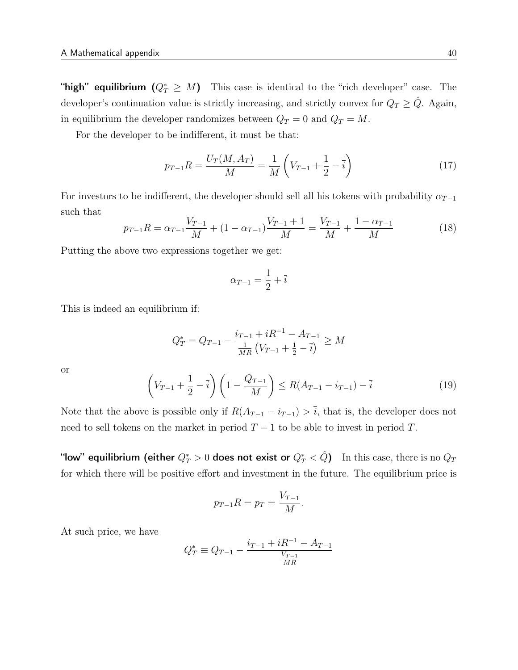"high" equilibrium  $(Q_T^* \geq M)$  This case is identical to the "rich developer" case. The developer's continuation value is strictly increasing, and strictly convex for  $Q_T \geq \hat{Q}$ . Again, in equilibrium the developer randomizes between  $Q_T = 0$  and  $Q_T = M$ .

For the developer to be indifferent, it must be that:

$$
p_{T-1}R = \frac{U_T(M, A_T)}{M} = \frac{1}{M} \left( V_{T-1} + \frac{1}{2} - \overline{i} \right)
$$
 (17)

For investors to be indifferent, the developer should sell all his tokens with probability  $\alpha_{T-1}$ such that

$$
p_{T-1}R = \alpha_{T-1}\frac{V_{T-1}}{M} + (1 - \alpha_{T-1})\frac{V_{T-1} + 1}{M} = \frac{V_{T-1}}{M} + \frac{1 - \alpha_{T-1}}{M}
$$
(18)

Putting the above two expressions together we get:

$$
\alpha_{T-1} = \frac{1}{2} + \overline{i}
$$

This is indeed an equilibrium if:

$$
Q_T^* = Q_{T-1} - \frac{i_{T-1} + \bar{i}R^{-1} - A_{T-1}}{\frac{1}{MR}(V_{T-1} + \frac{1}{2} - \bar{i})} \ge M
$$

or

$$
\left(V_{T-1} + \frac{1}{2} - \bar{i}\right)\left(1 - \frac{Q_{T-1}}{M}\right) \le R(A_{T-1} - i_{T-1}) - \bar{i}
$$
\n(19)

Note that the above is possible only if  $R(A_{T-1} - i_{T-1}) > \overline{i}$ , that is, the developer does not need to sell tokens on the market in period  $T - 1$  to be able to invest in period T.

"low" equilibrium (either  $Q_T^*>0$  does not exist or  $Q_T^*<\hat Q)$   $\;$  In this case, there is no  $Q_T$ for which there will be positive effort and investment in the future. The equilibrium price is

$$
p_{T-1}R = p_T = \frac{V_{T-1}}{M}.
$$

At such price, we have

$$
Q_T^* \equiv Q_{T-1} - \frac{i_{T-1} + \bar{i}R^{-1} - A_{T-1}}{\frac{V_{T-1}}{MR}}
$$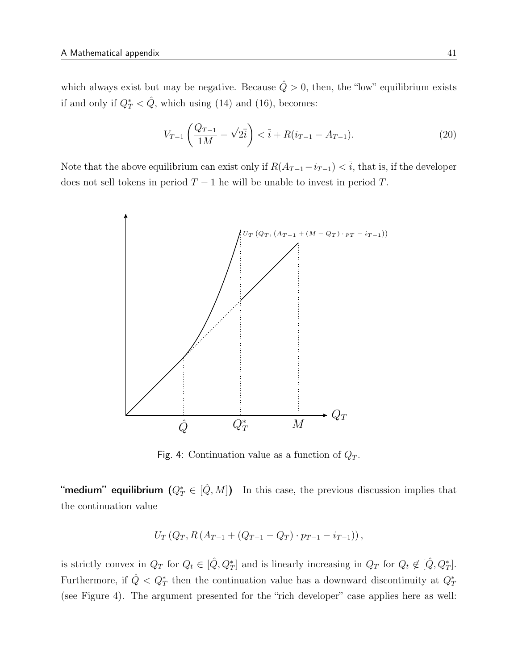which always exist but may be negative. Because  $\hat{Q} > 0$ , then, the "low" equilibrium exists if and only if  $Q_T^* < \hat{Q}$ , which using (14) and (16), becomes:

$$
V_{T-1}\left(\frac{Q_{T-1}}{1M} - \sqrt{2i}\right) < \bar{i} + R(i_{T-1} - A_{T-1}).\tag{20}
$$

Note that the above equilibrium can exist only if  $R(A_{T-1}-i_{T-1}) < \overline{i}$ , that is, if the developer does not sell tokens in period  $T - 1$  he will be unable to invest in period T.



Fig. 4: Continuation value as a function of  $Q_T$ .

"medium" equilibrium  $(Q_T^*\in [\hat{Q},M])$  In this case, the previous discussion implies that the continuation value

$$
U_T(Q_T, R(A_{T-1}+(Q_{T-1}-Q_T)\cdot p_{T-1}-i_{T-1})),
$$

is strictly convex in  $Q_T$  for  $Q_t \in [\hat{Q}, Q_T^*]$  and is linearly increasing in  $Q_T$  for  $Q_t \notin [\hat{Q}, Q_T^*]$ . Furthermore, if  $\hat{Q} < Q_T^*$  then the continuation value has a downward discontinuity at  $Q_T^*$ (see Figure 4). The argument presented for the "rich developer" case applies here as well: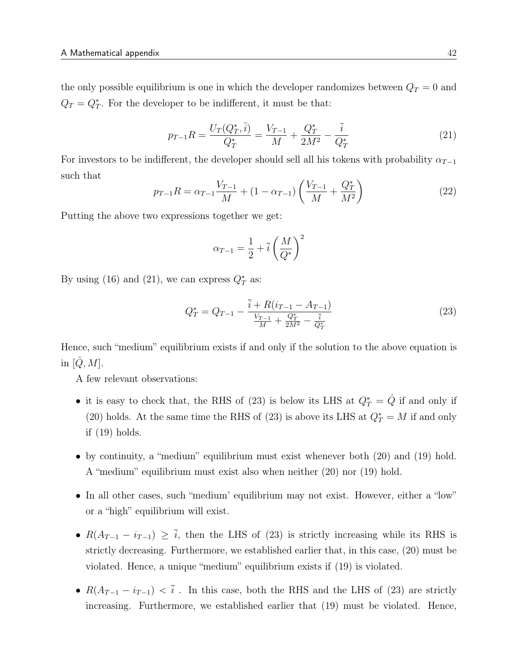the only possible equilibrium is one in which the developer randomizes between  $Q_T = 0$  and  $Q_T = Q_T^*$ . For the developer to be indifferent, it must be that:

$$
p_{T-1}R = \frac{U_T(Q_T^*, \bar{i})}{Q_T^*} = \frac{V_{T-1}}{M} + \frac{Q_T^*}{2M^2} - \frac{\bar{i}}{Q_T^*}
$$
(21)

For investors to be indifferent, the developer should sell all his tokens with probability  $\alpha_{T-1}$ such that

$$
p_{T-1}R = \alpha_{T-1}\frac{V_{T-1}}{M} + (1 - \alpha_{T-1})\left(\frac{V_{T-1}}{M} + \frac{Q_T^*}{M^2}\right)
$$
 (22)

Putting the above two expressions together we get:

$$
\alpha_{T-1} = \frac{1}{2} + \overline{i} \left(\frac{M}{Q^*}\right)^2
$$

By using (16) and (21), we can express  $Q_T^*$  as:

$$
Q_T^* = Q_{T-1} - \frac{\bar{i} + R(i_{T-1} - A_{T-1})}{\frac{V_{T-1}}{M} + \frac{Q_T^*}{2M^2} - \frac{\bar{i}}{Q_T^*}}
$$
(23)

Hence, such "medium" equilibrium exists if and only if the solution to the above equation is in  $[\tilde{Q}, M]$ .

A few relevant observations:

- it is easy to check that, the RHS of (23) is below its LHS at  $Q_T^* = \hat{Q}$  if and only if (20) holds. At the same time the RHS of (23) is above its LHS at  $Q_T^* = M$  if and only if (19) holds.
- by continuity, a "medium" equilibrium must exist whenever both (20) and (19) hold. A "medium" equilibrium must exist also when neither (20) nor (19) hold.
- In all other cases, such "medium' equilibrium may not exist. However, either a "low" or a "high" equilibrium will exist.
- $R(A_{T-1} i_{T-1}) \geq \overline{i}$ , then the LHS of (23) is strictly increasing while its RHS is strictly decreasing. Furthermore, we established earlier that, in this case, (20) must be violated. Hence, a unique "medium" equilibrium exists if (19) is violated.
- $R(A_{T-1} i_{T-1}) < \overline{i}$ . In this case, both the RHS and the LHS of (23) are strictly increasing. Furthermore, we established earlier that (19) must be violated. Hence,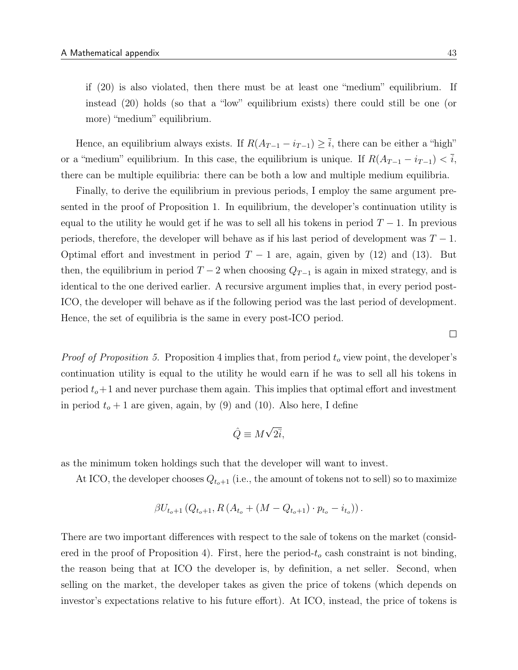if (20) is also violated, then there must be at least one "medium" equilibrium. If instead (20) holds (so that a "low" equilibrium exists) there could still be one (or more) "medium" equilibrium.

Hence, an equilibrium always exists. If  $R(A_{T-1} - i_{T-1}) \geq \overline{i}$ , there can be either a "high" or a "medium" equilibrium. In this case, the equilibrium is unique. If  $R(A_{T-1} - i_{T-1}) < \overline{i}$ , there can be multiple equilibria: there can be both a low and multiple medium equilibria.

Finally, to derive the equilibrium in previous periods, I employ the same argument presented in the proof of Proposition 1. In equilibrium, the developer's continuation utility is equal to the utility he would get if he was to sell all his tokens in period  $T - 1$ . In previous periods, therefore, the developer will behave as if his last period of development was  $T-1$ . Optimal effort and investment in period  $T-1$  are, again, given by (12) and (13). But then, the equilibrium in period  $T-2$  when choosing  $Q_{T-1}$  is again in mixed strategy, and is identical to the one derived earlier. A recursive argument implies that, in every period post-ICO, the developer will behave as if the following period was the last period of development. Hence, the set of equilibria is the same in every post-ICO period.

*Proof of Proposition 5.* Proposition 4 implies that, from period  $t<sub>o</sub>$  view point, the developer's continuation utility is equal to the utility he would earn if he was to sell all his tokens in period  $t_o+1$  and never purchase them again. This implies that optimal effort and investment in period  $t_o + 1$  are given, again, by (9) and (10). Also here, I define

$$
\hat{Q} \equiv M\sqrt{2\bar{i}},
$$

as the minimum token holdings such that the developer will want to invest.

At ICO, the developer chooses  $Q_{t_o+1}$  (i.e., the amount of tokens not to sell) so to maximize

$$
\beta U_{t_o+1} (Q_{t_o+1}, R (A_{t_o} + (M - Q_{t_o+1}) \cdot p_{t_o} - i_{t_o})).
$$

There are two important differences with respect to the sale of tokens on the market (considered in the proof of Proposition 4). First, here the period- $t<sub>o</sub>$  cash constraint is not binding, the reason being that at ICO the developer is, by definition, a net seller. Second, when selling on the market, the developer takes as given the price of tokens (which depends on investor's expectations relative to his future effort). At ICO, instead, the price of tokens is

 $\Box$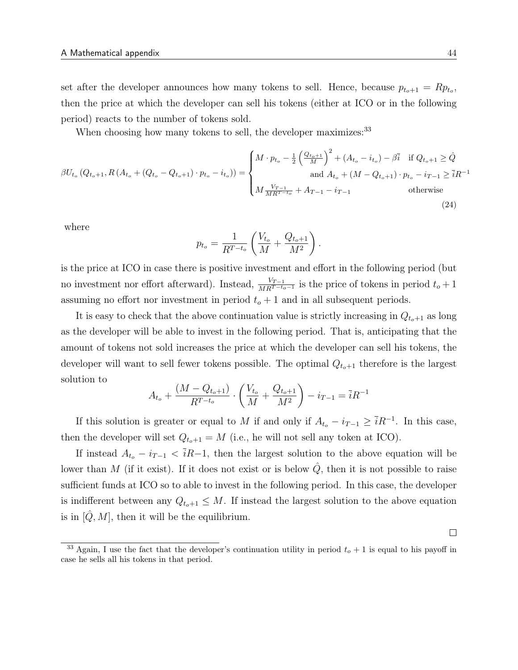set after the developer announces how many tokens to sell. Hence, because  $p_{t_o+1} = Rp_{t_o}$ , then the price at which the developer can sell his tokens (either at ICO or in the following period) reacts to the number of tokens sold.

When choosing how many tokens to sell, the developer maximizes:<sup>33</sup>

$$
\beta U_{t_o} \left( Q_{t_o+1}, R \left( A_{t_o} + \left( Q_{t_o} - Q_{t_o+1} \right) \cdot p_{t_o} - i_{t_o} \right) \right) = \begin{cases} M \cdot p_{t_o} - \frac{1}{2} \left( \frac{Q_{t_o+1}}{M} \right)^2 + \left( A_{t_o} - i_{t_o} \right) - \beta \bar{i} & \text{if } Q_{t_o+1} \ge \hat{Q} \\ \text{and } A_{t_o} + \left( M - Q_{t_o+1} \right) \cdot p_{t_o} - i_{T-1} \ge \bar{i} R^{-1} \\ M \frac{V_{T-1}}{M R^{T-t_o}} + A_{T-1} - i_{T-1} & \text{otherwise} \end{cases} \tag{24}
$$

where

$$
p_{t_o} = \frac{1}{R^{T-t_o}} \left( \frac{V_{t_o}}{M} + \frac{Q_{t_o+1}}{M^2} \right).
$$

is the price at ICO in case there is positive investment and effort in the following period (but no investment nor effort afterward). Instead,  $\frac{V_{T-1}}{MR^{T-t_0-1}}$  is the price of tokens in period  $t_o + 1$ assuming no effort nor investment in period  $t<sub>o</sub> + 1$  and in all subsequent periods.

It is easy to check that the above continuation value is strictly increasing in  $Q_{t_0+1}$  as long as the developer will be able to invest in the following period. That is, anticipating that the amount of tokens not sold increases the price at which the developer can sell his tokens, the developer will want to sell fewer tokens possible. The optimal  $Q_{t_o+1}$  therefore is the largest solution to

$$
A_{t_o} + \frac{(M - Q_{t_o+1})}{R^{T-t_o}} \cdot \left(\frac{V_{t_o}}{M} + \frac{Q_{t_o+1}}{M^2}\right) - i_{T-1} = \overline{i}R^{-1}
$$

If this solution is greater or equal to M if and only if  $A_{t_o} - i_{T-1} \geq \overline{i}R^{-1}$ . In this case, then the developer will set  $Q_{t_0+1} = M$  (i.e., he will not sell any token at ICO).

If instead  $A_{t_o} - i_{T-1} < \overline{i}R-1$ , then the largest solution to the above equation will be lower than M (if it exist). If it does not exist or is below  $Q$ , then it is not possible to raise sufficient funds at ICO so to able to invest in the following period. In this case, the developer is indifferent between any  $Q_{t_o+1} \leq M$ . If instead the largest solution to the above equation is in  $[Q, M]$ , then it will be the equilibrium.

 $\Box$ 

<sup>&</sup>lt;sup>33</sup> Again, I use the fact that the developer's continuation utility in period  $t_0 + 1$  is equal to his payoff in case he sells all his tokens in that period.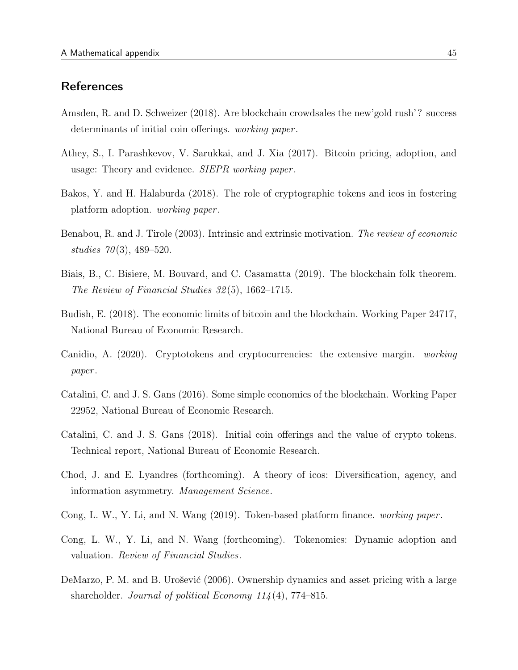# **References**

- Amsden, R. and D. Schweizer (2018). Are blockchain crowdsales the new'gold rush'? success determinants of initial coin offerings. *working paper*.
- Athey, S., I. Parashkevov, V. Sarukkai, and J. Xia (2017). Bitcoin pricing, adoption, and usage: Theory and evidence. *SIEPR working paper*.
- Bakos, Y. and H. Halaburda (2018). The role of cryptographic tokens and icos in fostering platform adoption. working paper .
- Benabou, R. and J. Tirole (2003). Intrinsic and extrinsic motivation. The review of economic studies  $70(3)$ , 489–520.
- Biais, B., C. Bisiere, M. Bouvard, and C. Casamatta (2019). The blockchain folk theorem. The Review of Financial Studies 32 (5), 1662–1715.
- Budish, E. (2018). The economic limits of bitcoin and the blockchain. Working Paper 24717, National Bureau of Economic Research.
- Canidio, A. (2020). Cryptotokens and cryptocurrencies: the extensive margin. working paper .
- Catalini, C. and J. S. Gans (2016). Some simple economics of the blockchain. Working Paper 22952, National Bureau of Economic Research.
- Catalini, C. and J. S. Gans (2018). Initial coin offerings and the value of crypto tokens. Technical report, National Bureau of Economic Research.
- Chod, J. and E. Lyandres (forthcoming). A theory of icos: Diversification, agency, and information asymmetry. Management Science.
- Cong, L. W., Y. Li, and N. Wang (2019). Token-based platform finance. working paper .
- Cong, L. W., Y. Li, and N. Wang (forthcoming). Tokenomics: Dynamic adoption and valuation. Review of Financial Studies.
- DeMarzo, P. M. and B. Urošević (2006). Ownership dynamics and asset pricing with a large shareholder. Journal of political Economy  $114(4)$ , 774–815.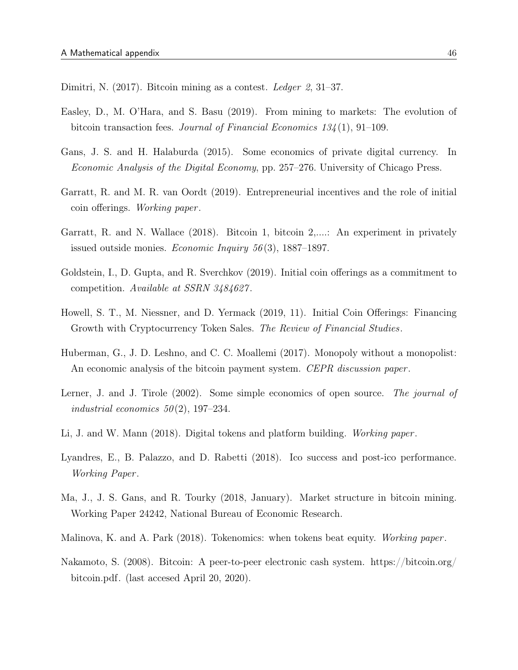Dimitri, N. (2017). Bitcoin mining as a contest. Ledger 2, 31–37.

- Easley, D., M. O'Hara, and S. Basu (2019). From mining to markets: The evolution of bitcoin transaction fees. Journal of Financial Economics 134 (1), 91–109.
- Gans, J. S. and H. Halaburda (2015). Some economics of private digital currency. In Economic Analysis of the Digital Economy, pp. 257–276. University of Chicago Press.
- Garratt, R. and M. R. van Oordt (2019). Entrepreneurial incentives and the role of initial coin offerings. Working paper .
- Garratt, R. and N. Wallace (2018). Bitcoin 1, bitcoin 2,....: An experiment in privately issued outside monies. *Economic Inquiry*  $56(3)$ , 1887–1897.
- Goldstein, I., D. Gupta, and R. Sverchkov (2019). Initial coin offerings as a commitment to competition. Available at SSRN 3484627 .
- Howell, S. T., M. Niessner, and D. Yermack (2019, 11). Initial Coin Offerings: Financing Growth with Cryptocurrency Token Sales. The Review of Financial Studies.
- Huberman, G., J. D. Leshno, and C. C. Moallemi (2017). Monopoly without a monopolist: An economic analysis of the bitcoin payment system. CEPR discussion paper.
- Lerner, J. and J. Tirole (2002). Some simple economics of open source. The journal of industrial economics  $50(2)$ , 197–234.
- Li, J. and W. Mann (2018). Digital tokens and platform building. *Working paper*.
- Lyandres, E., B. Palazzo, and D. Rabetti (2018). Ico success and post-ico performance. Working Paper .
- Ma, J., J. S. Gans, and R. Tourky (2018, January). Market structure in bitcoin mining. Working Paper 24242, National Bureau of Economic Research.
- Malinova, K. and A. Park (2018). Tokenomics: when tokens beat equity. Working paper.
- Nakamoto, S. (2008). Bitcoin: A peer-to-peer electronic cash system. https://bitcoin.org/ bitcoin.pdf. (last accesed April 20, 2020).